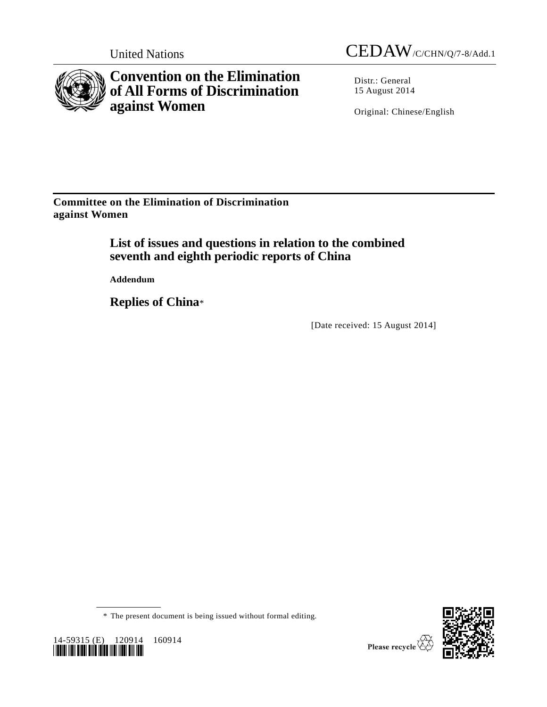



**Convention on the Elimination of All Forms of Discrimination against Women**

Distr.: General 15 August 2014

Original: Chinese/English

**Committee on the Elimination of Discrimination against Women**

> **List of issues and questions in relation to the combined seventh and eighth periodic reports of China**

**Addendum**

**Replies of China**\*

[Date received: 15 August 2014]

\* The present document is being issued without formal editing.



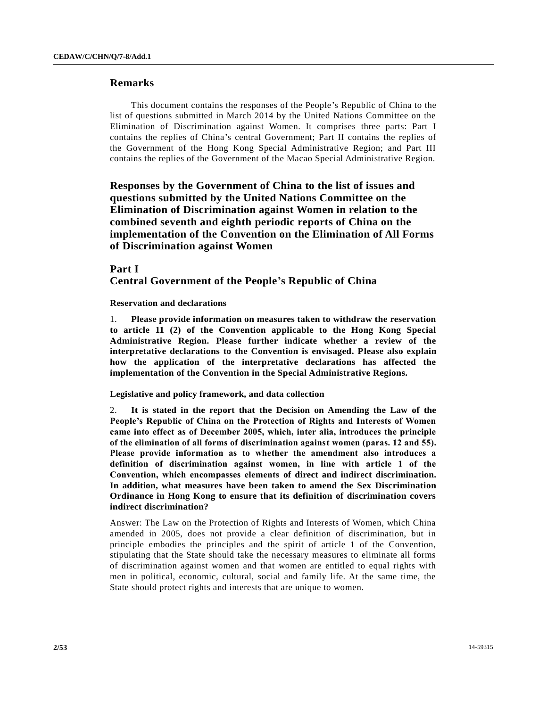# **Remarks**

This document contains the responses of the People's Republic of China to the list of questions submitted in March 2014 by the United Nations Committee on the Elimination of Discrimination against Women. It comprises three parts: Part I contains the replies of China's central Government; Part II contains the replies of the Government of the Hong Kong Special Administrative Region; and Part III contains the replies of the Government of the Macao Special Administrative Region.

**Responses by the Government of China to the list of issues and questions submitted by the United Nations Committee on the Elimination of Discrimination against Women in relation to the combined seventh and eighth periodic reports of China on the implementation of the Convention on the Elimination of All Forms of Discrimination against Women**

**Part I Central Government of the People's Republic of China**

**Reservation and declarations**

1. **Please provide information on measures taken to withdraw the reservation to article 11 (2) of the Convention applicable to the Hong Kong Special Administrative Region. Please further indicate whether a review of the interpretative declarations to the Convention is envisaged. Please also explain how the application of the interpretative declarations has affected the implementation of the Convention in the Special Administrative Regions.**

**Legislative and policy framework, and data collection**

2. **It is stated in the report that the Decision on Amending the Law of the People's Republic of China on the Protection of Rights and Interests of Women came into effect as of December 2005, which, inter alia, introduces the principle of the elimination of all forms of discrimination against women (paras. 12 and 55). Please provide information as to whether the amendment also introduces a definition of discrimination against women, in line with article 1 of the Convention, which encompasses elements of direct and indirect discrimination. In addition, what measures have been taken to amend the Sex Discrimination Ordinance in Hong Kong to ensure that its definition of discrimination covers indirect discrimination?**

Answer: The Law on the Protection of Rights and Interests of Women, which China amended in 2005, does not provide a clear definition of discrimination, but in principle embodies the principles and the spirit of article 1 of the Convention, stipulating that the State should take the necessary measures to eliminate all forms of discrimination against women and that women are entitled to equal rights with men in political, economic, cultural, social and family life. At the same time, the State should protect rights and interests that are unique to women.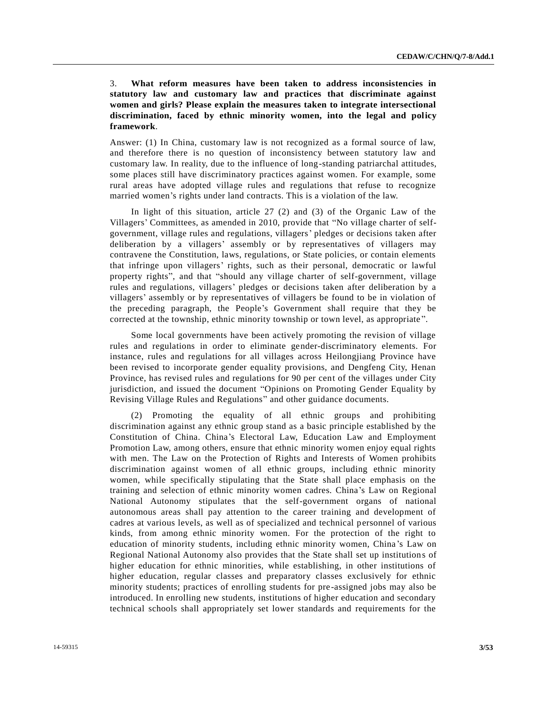# 3. **What reform measures have been taken to address inconsistencies in statutory law and customary law and practices that discriminate against women and girls? Please explain the measures taken to integrate intersectional discrimination, faced by ethnic minority women, into the legal and policy framework**.

Answer: (1) In China, customary law is not recognized as a formal source of law, and therefore there is no question of inconsistency between statutory law and customary law. In reality, due to the influence of long-standing patriarchal attitudes, some places still have discriminatory practices against women. For example, some rural areas have adopted village rules and regulations that refuse to recognize married women's rights under land contracts. This is a violation of the law.

In light of this situation, article 27 (2) and (3) of the Organic Law of the Villagers' Committees, as amended in 2010, provide that "No village charter of selfgovernment, village rules and regulations, villagers' pledges or decisions taken after deliberation by a villagers' assembly or by representatives of villagers may contravene the Constitution, laws, regulations, or State policies, or contain elements that infringe upon villagers' rights, such as their personal, democratic or lawful property rights", and that "should any village charter of self-government, village rules and regulations, villagers' pledges or decisions taken after deliberation by a villagers' assembly or by representatives of villagers be found to be in violation of the preceding paragraph, the People's Government shall require that they be corrected at the township, ethnic minority township or town level, as appropriate ".

Some local governments have been actively promoting the revision of village rules and regulations in order to eliminate gender-discriminatory elements. For instance, rules and regulations for all villages across Heilongjiang Province have been revised to incorporate gender equality provisions, and Dengfeng City, Henan Province, has revised rules and regulations for 90 per cent of the villages under City jurisdiction, and issued the document "Opinions on Promoting Gender Equality by Revising Village Rules and Regulations" and other guidance documents.

(2) Promoting the equality of all ethnic groups and prohibiting discrimination against any ethnic group stand as a basic principle established by the Constitution of China. China's Electoral Law, Education Law and Employment Promotion Law, among others, ensure that ethnic minority women enjoy equal rights with men. The Law on the Protection of Rights and Interests of Women prohibits discrimination against women of all ethnic groups, including ethnic minority women, while specifically stipulating that the State shall place emphasis on the training and selection of ethnic minority women cadres. China's Law on Regional National Autonomy stipulates that the self-government organs of national autonomous areas shall pay attention to the career training and development of cadres at various levels, as well as of specialized and technical personnel of various kinds, from among ethnic minority women. For the protection of the right to education of minority students, including ethnic minority women, China 's Law on Regional National Autonomy also provides that the State shall set up institution s of higher education for ethnic minorities, while establishing, in other institutions of higher education, regular classes and preparatory classes exclusively for ethnic minority students; practices of enrolling students for pre-assigned jobs may also be introduced. In enrolling new students, institutions of higher education and secondary technical schools shall appropriately set lower standards and requirements for the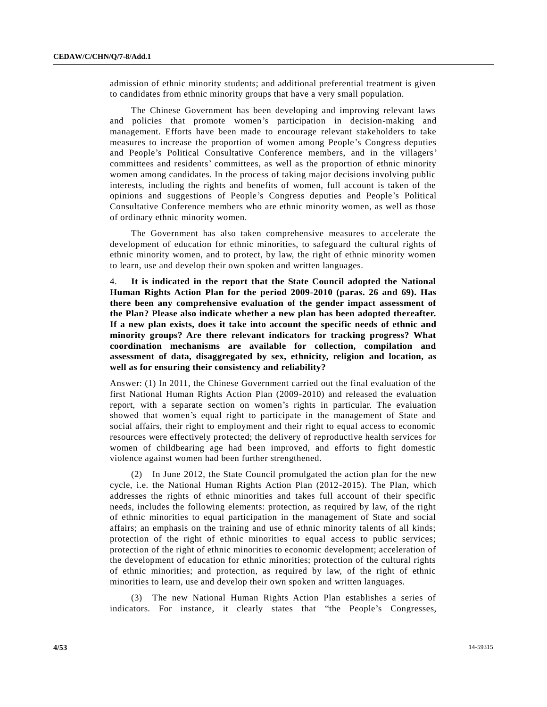admission of ethnic minority students; and additional preferential treatment is given to candidates from ethnic minority groups that have a very small population.

The Chinese Government has been developing and improving relevant laws and policies that promote women's participation in decision-making and management. Efforts have been made to encourage relevant stakeholders to take measures to increase the proportion of women among People's Congress deputies and People's Political Consultative Conference members, and in the villagers' committees and residents' committees, as well as the proportion of ethnic minority women among candidates. In the process of taking major decisions involving public interests, including the rights and benefits of women, full account is taken of the opinions and suggestions of People's Congress deputies and People's Political Consultative Conference members who are ethnic minority women, as well as those of ordinary ethnic minority women.

The Government has also taken comprehensive measures to accelerate the development of education for ethnic minorities, to safeguard the cultural rights of ethnic minority women, and to protect, by law, the right of ethnic minority women to learn, use and develop their own spoken and written languages.

4. **It is indicated in the report that the State Council adopted the National Human Rights Action Plan for the period 2009-2010 (paras. 26 and 69). Has there been any comprehensive evaluation of the gender impact assessment of the Plan? Please also indicate whether a new plan has been adopted thereafter. If a new plan exists, does it take into account the specific needs of ethnic and minority groups? Are there relevant indicators for tracking progress? What coordination mechanisms are available for collection, compilation and assessment of data, disaggregated by sex, ethnicity, religion and location, as well as for ensuring their consistency and reliability?**

Answer: (1) In 2011, the Chinese Government carried out the final evaluation of the first National Human Rights Action Plan (2009-2010) and released the evaluation report, with a separate section on women's rights in particular. The evaluation showed that women's equal right to participate in the management of State and social affairs, their right to employment and their right to equal access to economic resources were effectively protected; the delivery of reproductive health services for women of childbearing age had been improved, and efforts to fight domestic violence against women had been further strengthened.

(2) In June 2012, the State Council promulgated the action plan for the new cycle, i.e. the National Human Rights Action Plan (2012-2015). The Plan, which addresses the rights of ethnic minorities and takes full account of their specific needs, includes the following elements: protection, as required by law, of the right of ethnic minorities to equal participation in the management of State and social affairs; an emphasis on the training and use of ethnic minority talents of all kinds; protection of the right of ethnic minorities to equal access to public services; protection of the right of ethnic minorities to economic development; acceleration of the development of education for ethnic minorities; protection of the cultural rights of ethnic minorities; and protection, as required by law, of the right of ethnic minorities to learn, use and develop their own spoken and written languages.

(3) The new National Human Rights Action Plan establishes a series of indicators. For instance, it clearly states that "the People's Congresses,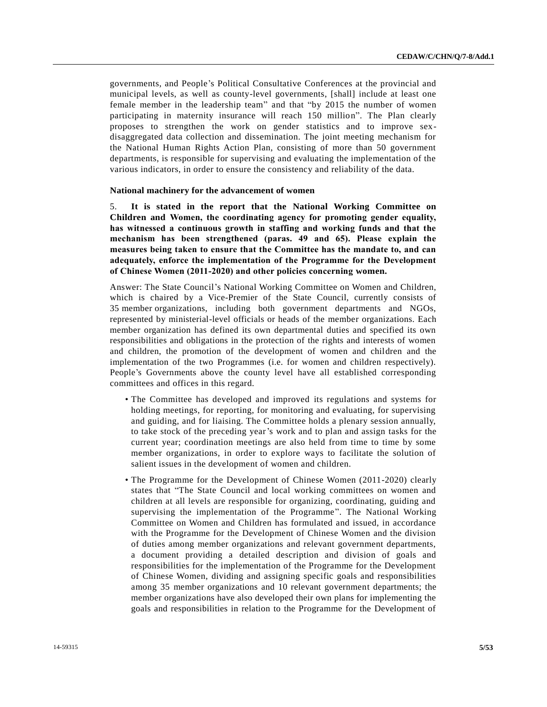governments, and People's Political Consultative Conferences at the provincial and municipal levels, as well as county-level governments, [shall] include at least one female member in the leadership team" and that "by 2015 the number of women participating in maternity insurance will reach 150 million". The Plan clearly proposes to strengthen the work on gender statistics and to improve sexdisaggregated data collection and dissemination. The joint meeting mechanism for the National Human Rights Action Plan, consisting of more than 50 government departments, is responsible for supervising and evaluating the implementation of the various indicators, in order to ensure the consistency and reliability of the data.

#### **National machinery for the advancement of women**

5. **It is stated in the report that the National Working Committee on Children and Women, the coordinating agency for promoting gender equality, has witnessed a continuous growth in staffing and working funds and that the mechanism has been strengthened (paras. 49 and 65). Please explain the measures being taken to ensure that the Committee has the mandate to, and can adequately, enforce the implementation of the Programme for the Development of Chinese Women (2011-2020) and other policies concerning women.**

Answer: The State Council's National Working Committee on Women and Children, which is chaired by a Vice-Premier of the State Council, currently consists of 35 member organizations, including both government departments and NGOs, represented by ministerial-level officials or heads of the member organizations. Each member organization has defined its own departmental duties and specified its own responsibilities and obligations in the protection of the rights and interests of women and children, the promotion of the development of women and children and the implementation of the two Programmes (i.e. for women and children respectively). People's Governments above the county level have all established corresponding committees and offices in this regard.

- The Committee has developed and improved its regulations and systems for holding meetings, for reporting, for monitoring and evaluating, for supervising and guiding, and for liaising. The Committee holds a plenary session annually, to take stock of the preceding year's work and to plan and assign tasks for the current year; coordination meetings are also held from time to time by some member organizations, in order to explore ways to facilitate the solution of salient issues in the development of women and children.
- The Programme for the Development of Chinese Women (2011-2020) clearly states that "The State Council and local working committees on women and children at all levels are responsible for organizing, coordinating, guiding and supervising the implementation of the Programme". The National Working Committee on Women and Children has formulated and issued, in accordance with the Programme for the Development of Chinese Women and the division of duties among member organizations and relevant government departments, a document providing a detailed description and division of goals and responsibilities for the implementation of the Programme for the Development of Chinese Women, dividing and assigning specific goals and responsibilities among 35 member organizations and 10 relevant government departments; the member organizations have also developed their own plans for implementing the goals and responsibilities in relation to the Programme for the Development of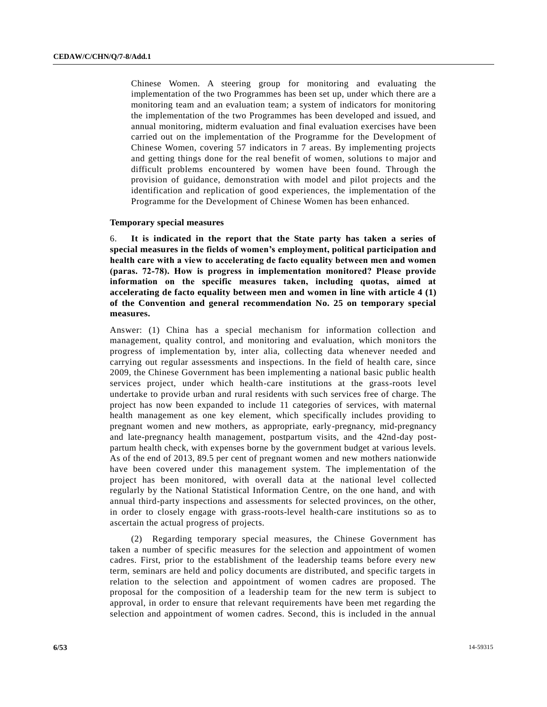Chinese Women. A steering group for monitoring and evaluating the implementation of the two Programmes has been set up, under which there are a monitoring team and an evaluation team; a system of indicators for monitoring the implementation of the two Programmes has been developed and issued, and annual monitoring, midterm evaluation and final evaluation exercises have been carried out on the implementation of the Programme for the Development of Chinese Women, covering 57 indicators in 7 areas. By implementing projects and getting things done for the real benefit of women, solutions to major and difficult problems encountered by women have been found. Through the provision of guidance, demonstration with model and pilot projects and the identification and replication of good experiences, the implementation of the Programme for the Development of Chinese Women has been enhanced.

#### **Temporary special measures**

6. **It is indicated in the report that the State party has taken a series of special measures in the fields of women's employment, political participation and health care with a view to accelerating de facto equality between men and women (paras. 72-78). How is progress in implementation monitored? Please provide information on the specific measures taken, including quotas, aimed at accelerating de facto equality between men and women in line with article 4 (1) of the Convention and general recommendation No. 25 on temporary special measures.**

Answer: (1) China has a special mechanism for information collection and management, quality control, and monitoring and evaluation, which monitors the progress of implementation by, inter alia, collecting data whenever needed and carrying out regular assessments and inspections. In the field of health care, since 2009, the Chinese Government has been implementing a national basic public health services project, under which health-care institutions at the grass-roots level undertake to provide urban and rural residents with such services free of charge. The project has now been expanded to include 11 categories of services, with maternal health management as one key element, which specifically includes providing to pregnant women and new mothers, as appropriate, early-pregnancy, mid-pregnancy and late-pregnancy health management, postpartum visits, and the 42nd-day postpartum health check, with expenses borne by the government budget at various levels. As of the end of 2013, 89.5 per cent of pregnant women and new mothers nationwide have been covered under this management system. The implementation of the project has been monitored, with overall data at the national level collected regularly by the National Statistical Information Centre, on the one hand, and with annual third-party inspections and assessments for selected provinces, on the other, in order to closely engage with grass-roots-level health-care institutions so as to ascertain the actual progress of projects.

(2) Regarding temporary special measures, the Chinese Government has taken a number of specific measures for the selection and appointment of women cadres. First, prior to the establishment of the leadership teams before every new term, seminars are held and policy documents are distributed, and specific targets in relation to the selection and appointment of women cadres are proposed. The proposal for the composition of a leadership team for the new term is subject to approval, in order to ensure that relevant requirements have been met regarding the selection and appointment of women cadres. Second, this is included in the annual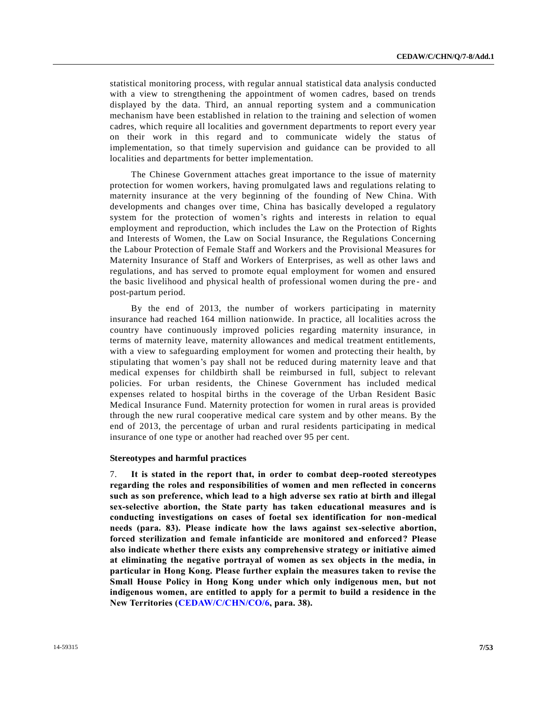statistical monitoring process, with regular annual statistical data analysis conducted with a view to strengthening the appointment of women cadres, based on trends displayed by the data. Third, an annual reporting system and a communication mechanism have been established in relation to the training and selection of women cadres, which require all localities and government departments to report every year on their work in this regard and to communicate widely the status of implementation, so that timely supervision and guidance can be provided to all localities and departments for better implementation.

The Chinese Government attaches great importance to the issue of maternity protection for women workers, having promulgated laws and regulations relating to maternity insurance at the very beginning of the founding of New China. With developments and changes over time, China has basically developed a regulatory system for the protection of women's rights and interests in relation to equal employment and reproduction, which includes the Law on the Protection of Rights and Interests of Women, the Law on Social Insurance, the Regulations Concerning the Labour Protection of Female Staff and Workers and the Provisional Measures for Maternity Insurance of Staff and Workers of Enterprises, as well as other laws and regulations, and has served to promote equal employment for women and ensured the basic livelihood and physical health of professional women during the pre - and post-partum period.

By the end of 2013, the number of workers participating in maternity insurance had reached 164 million nationwide. In practice, all localities across the country have continuously improved policies regarding maternity insurance, in terms of maternity leave, maternity allowances and medical treatment entitlements, with a view to safeguarding employment for women and protecting their health, by stipulating that women's pay shall not be reduced during maternity leave and that medical expenses for childbirth shall be reimbursed in full, subject to relevant policies. For urban residents, the Chinese Government has included medical expenses related to hospital births in the coverage of the Urban Resident Basic Medical Insurance Fund. Maternity protection for women in rural areas is provided through the new rural cooperative medical care system and by other means. By the end of 2013, the percentage of urban and rural residents participating in medical insurance of one type or another had reached over 95 per cent.

#### **Stereotypes and harmful practices**

7. **It is stated in the report that, in order to combat deep-rooted stereotypes regarding the roles and responsibilities of women and men reflected in concerns such as son preference, which lead to a high adverse sex ratio at birth and illegal sex-selective abortion, the State party has taken educational measures and is conducting investigations on cases of foetal sex identification for non-medical needs (para. 83). Please indicate how the laws against sex-selective abortion, forced sterilization and female infanticide are monitored and enforced? Please also indicate whether there exists any comprehensive strategy or initiative aimed at eliminating the negative portrayal of women as sex objects in the media, in particular in Hong Kong. Please further explain the measures taken to revise the Small House Policy in Hong Kong under which only indigenous men, but not indigenous women, are entitled to apply for a permit to build a residence in the New Territories [\(CEDAW/C/CHN/CO/6,](http://undocs.org/CEDAW/C/CHN/CO/6) para. 38).**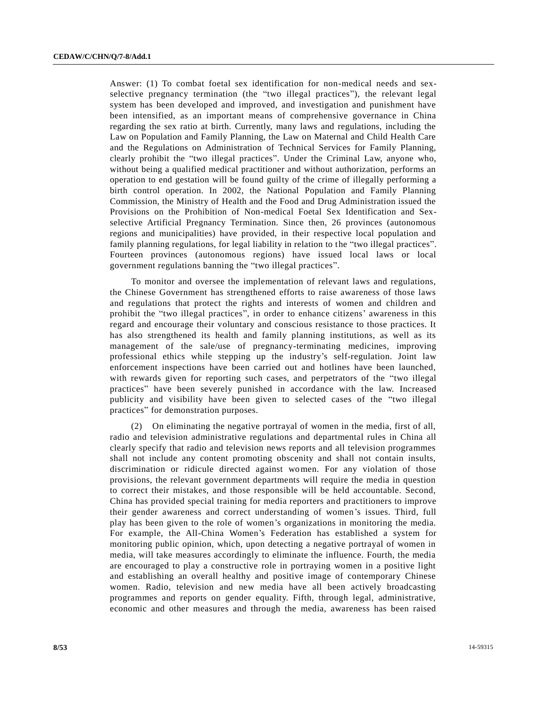Answer: (1) To combat foetal sex identification for non-medical needs and sexselective pregnancy termination (the "two illegal practices"), the relevant legal system has been developed and improved, and investigation and punishment have been intensified, as an important means of comprehensive governance in China regarding the sex ratio at birth. Currently, many laws and regulations, including the Law on Population and Family Planning, the Law on Maternal and Child Health Care and the Regulations on Administration of Technical Services for Family Planning, clearly prohibit the "two illegal practices". Under the Criminal Law, anyone who, without being a qualified medical practitioner and without authorization, performs an operation to end gestation will be found guilty of the crime of illegally performing a birth control operation. In 2002, the National Population and Family Planning Commission, the Ministry of Health and the Food and Drug Administration issued the Provisions on the Prohibition of Non-medical Foetal Sex Identification and Sexselective Artificial Pregnancy Termination. Since then, 26 provinces (autonomous regions and municipalities) have provided, in their respective local population and family planning regulations, for legal liability in relation to the "two illegal practices". Fourteen provinces (autonomous regions) have issued local laws or local government regulations banning the "two illegal practices".

To monitor and oversee the implementation of relevant laws and regulations, the Chinese Government has strengthened efforts to raise awareness of those laws and regulations that protect the rights and interests of women and children and prohibit the "two illegal practices", in order to enhance citizens' awareness in this regard and encourage their voluntary and conscious resistance to those practices. It has also strengthened its health and family planning institutions, as well as its management of the sale/use of pregnancy-terminating medicines, improving professional ethics while stepping up the industry's self-regulation. Joint law enforcement inspections have been carried out and hotlines have been launched, with rewards given for reporting such cases, and perpetrators of the "two illegal practices" have been severely punished in accordance with the law. Increased publicity and visibility have been given to selected cases of the "two illegal practices" for demonstration purposes.

(2) On eliminating the negative portrayal of women in the media, first of all, radio and television administrative regulations and departmental rules in China all clearly specify that radio and television news reports and all television programmes shall not include any content promoting obscenity and shall not contain insults, discrimination or ridicule directed against women. For any violation of those provisions, the relevant government departments will require the media in question to correct their mistakes, and those responsible will be held accountable. Second, China has provided special training for media reporters and practitioners to improve their gender awareness and correct understanding of women's issues. Third, full play has been given to the role of women's organizations in monitoring the media. For example, the All-China Women's Federation has established a system for monitoring public opinion, which, upon detecting a negative portrayal of women in media, will take measures accordingly to eliminate the influence. Fourth, the media are encouraged to play a constructive role in portraying women in a positive light and establishing an overall healthy and positive image of contemporary Chinese women. Radio, television and new media have all been actively broadcasting programmes and reports on gender equality. Fifth, through legal, administrative, economic and other measures and through the media, awareness has been raised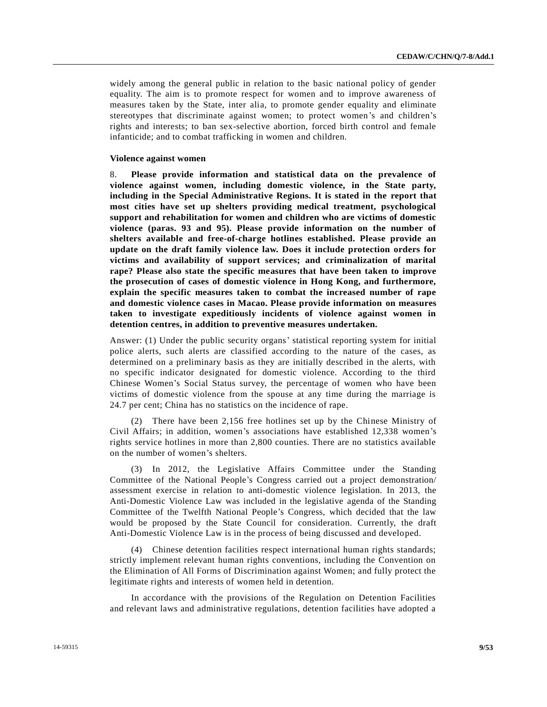widely among the general public in relation to the basic national policy of gender equality. The aim is to promote respect for women and to improve awareness of measures taken by the State, inter alia, to promote gender equality and eliminate stereotypes that discriminate against women; to protect women's and children's rights and interests; to ban sex-selective abortion, forced birth control and female infanticide; and to combat trafficking in women and children.

#### **Violence against women**

8. **Please provide information and statistical data on the prevalence of violence against women, including domestic violence, in the State party, including in the Special Administrative Regions. It is stated in the report that most cities have set up shelters providing medical treatment, psychological support and rehabilitation for women and children who are victims of domestic violence (paras. 93 and 95). Please provide information on the number of shelters available and free-of-charge hotlines established. Please provide an update on the draft family violence law. Does it include protection orders for victims and availability of support services; and criminalization of marital rape? Please also state the specific measures that have been taken to improve the prosecution of cases of domestic violence in Hong Kong, and furthermore, explain the specific measures taken to combat the increased number of rape and domestic violence cases in Macao. Please provide information on measures taken to investigate expeditiously incidents of violence against women in detention centres, in addition to preventive measures undertaken.**

Answer: (1) Under the public security organs' statistical reporting system for initial police alerts, such alerts are classified according to the nature of the cases, as determined on a preliminary basis as they are initially described in the alerts, with no specific indicator designated for domestic violence. According to the third Chinese Women's Social Status survey, the percentage of women who have been victims of domestic violence from the spouse at any time during the marriage is 24.7 per cent; China has no statistics on the incidence of rape.

There have been 2,156 free hotlines set up by the Chinese Ministry of Civil Affairs; in addition, women's associations have established 12,338 women's rights service hotlines in more than 2,800 counties. There are no statistics available on the number of women's shelters.

(3) In 2012, the Legislative Affairs Committee under the Standing Committee of the National People's Congress carried out a project demonstration/ assessment exercise in relation to anti-domestic violence legislation. In 2013, the Anti-Domestic Violence Law was included in the legislative agenda of the Standing Committee of the Twelfth National People's Congress, which decided that the law would be proposed by the State Council for consideration. Currently, the draft Anti-Domestic Violence Law is in the process of being discussed and developed.

(4) Chinese detention facilities respect international human rights standards; strictly implement relevant human rights conventions, including the Convention on the Elimination of All Forms of Discrimination against Women; and fully protect the legitimate rights and interests of women held in detention.

In accordance with the provisions of the Regulation on Detention Facilities and relevant laws and administrative regulations, detention facilities have adopted a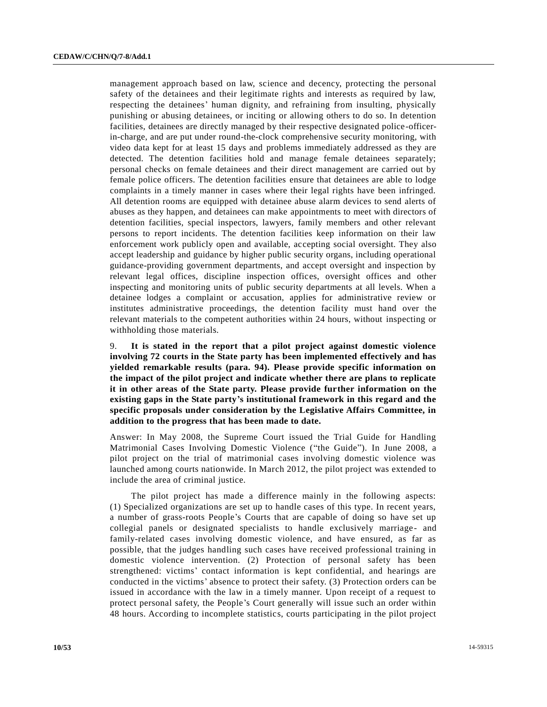management approach based on law, science and decency, protecting the personal safety of the detainees and their legitimate rights and interests as required by law, respecting the detainees' human dignity, and refraining from insulting, physically punishing or abusing detainees, or inciting or allowing others to do so. In detention facilities, detainees are directly managed by their respective designated police-officerin-charge, and are put under round-the-clock comprehensive security monitoring, with video data kept for at least 15 days and problems immediately addressed as they are detected. The detention facilities hold and manage female detainees separately; personal checks on female detainees and their direct management are carried out by female police officers. The detention facilities ensure that detainees are able to lodge complaints in a timely manner in cases where their legal rights have been infringed. All detention rooms are equipped with detainee abuse alarm devices to send alerts of abuses as they happen, and detainees can make appointments to meet with directors of detention facilities, special inspectors, lawyers, family members and other relevant persons to report incidents. The detention facilities keep information on their law enforcement work publicly open and available, accepting social oversight. They also accept leadership and guidance by higher public security organs, including operational guidance-providing government departments, and accept oversight and inspection by relevant legal offices, discipline inspection offices, oversight offices and other inspecting and monitoring units of public security departments at all levels. When a detainee lodges a complaint or accusation, applies for administrative review or institutes administrative proceedings, the detention facility must hand over the relevant materials to the competent authorities within 24 hours, without inspecting or withholding those materials.

9. **It is stated in the report that a pilot project against domestic violence involving 72 courts in the State party has been implemented effectively and has yielded remarkable results (para. 94). Please provide specific information on the impact of the pilot project and indicate whether there are plans to replicate it in other areas of the State party. Please provide further information on the existing gaps in the State party's institutional framework in this regard and the specific proposals under consideration by the Legislative Affairs Committee, in addition to the progress that has been made to date.**

Answer: In May 2008, the Supreme Court issued the Trial Guide for Handling Matrimonial Cases Involving Domestic Violence ("the Guide"). In June 2008, a pilot project on the trial of matrimonial cases involving domestic violence was launched among courts nationwide. In March 2012, the pilot project was extended to include the area of criminal justice.

The pilot project has made a difference mainly in the following aspects: (1) Specialized organizations are set up to handle cases of this type. In recent years, a number of grass-roots People's Courts that are capable of doing so have set up collegial panels or designated specialists to handle exclusively marriage - and family-related cases involving domestic violence, and have ensured, as far as possible, that the judges handling such cases have received professional training in domestic violence intervention. (2) Protection of personal safety has been strengthened: victims' contact information is kept confidential, and hearings are conducted in the victims' absence to protect their safety. (3) Protection orders can be issued in accordance with the law in a timely manner. Upon receipt of a request to protect personal safety, the People's Court generally will issue such an order within 48 hours. According to incomplete statistics, courts participating in the pilot project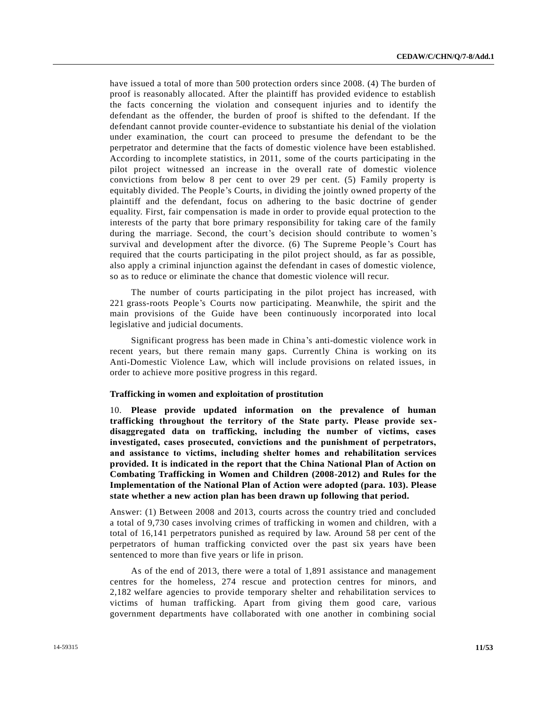have issued a total of more than 500 protection orders since 2008. (4) The burden of proof is reasonably allocated. After the plaintiff has provided evidence to establish the facts concerning the violation and consequent injuries and to identify the defendant as the offender, the burden of proof is shifted to the defendant. If the defendant cannot provide counter-evidence to substantiate his denial of the violation under examination, the court can proceed to presume the defendant to be the perpetrator and determine that the facts of domestic violence have been established. According to incomplete statistics, in 2011, some of the courts participating in the pilot project witnessed an increase in the overall rate of domestic violence convictions from below 8 per cent to over 29 per cent. (5) Family property is equitably divided. The People's Courts, in dividing the jointly owned property of the plaintiff and the defendant, focus on adhering to the basic doctrine of gender equality. First, fair compensation is made in order to provide equal protection to the interests of the party that bore primary responsibility for taking care of the family during the marriage. Second, the court's decision should contribute to women's survival and development after the divorce. (6) The Supreme People 's Court has required that the courts participating in the pilot project should, as far as possible, also apply a criminal injunction against the defendant in cases of domestic violence, so as to reduce or eliminate the chance that domestic violence will recur.

The number of courts participating in the pilot project has increased, with 221 grass-roots People's Courts now participating. Meanwhile, the spirit and the main provisions of the Guide have been continuously incorporated into local legislative and judicial documents.

Significant progress has been made in China's anti-domestic violence work in recent years, but there remain many gaps. Currently China is working on its Anti-Domestic Violence Law, which will include provisions on related issues, in order to achieve more positive progress in this regard.

#### **Trafficking in women and exploitation of prostitution**

10. **Please provide updated information on the prevalence of human trafficking throughout the territory of the State party. Please provide sexdisaggregated data on trafficking, including the number of victims, cases investigated, cases prosecuted, convictions and the punishment of perpetrators, and assistance to victims, including shelter homes and rehabilitation services provided. It is indicated in the report that the China National Plan of Action on Combating Trafficking in Women and Children (2008-2012) and Rules for the Implementation of the National Plan of Action were adopted (para. 103). Please state whether a new action plan has been drawn up following that period.**

Answer: (1) Between 2008 and 2013, courts across the country tried and concluded a total of 9,730 cases involving crimes of trafficking in women and children, with a total of 16,141 perpetrators punished as required by law. Around 58 per cent of the perpetrators of human trafficking convicted over the past six years have been sentenced to more than five years or life in prison.

As of the end of 2013, there were a total of 1,891 assistance and management centres for the homeless, 274 rescue and protection centres for minors, and 2,182 welfare agencies to provide temporary shelter and rehabilitation services to victims of human trafficking. Apart from giving them good care, various government departments have collaborated with one another in combining social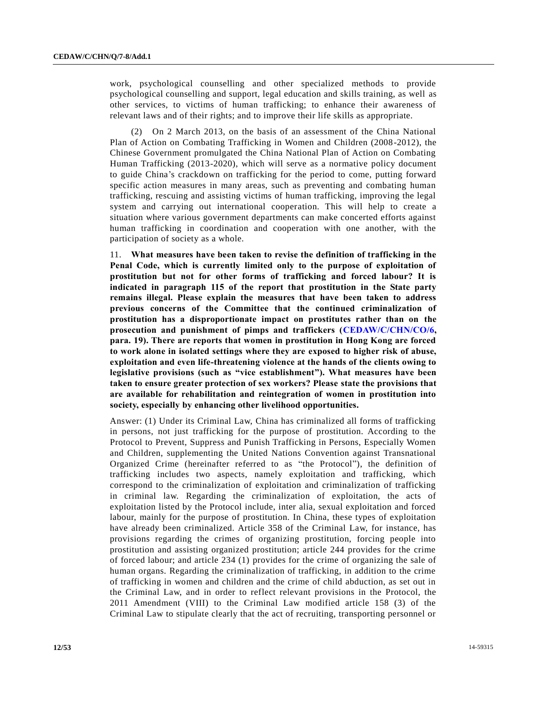work, psychological counselling and other specialized methods to provide psychological counselling and support, legal education and skills training, as well as other services, to victims of human trafficking; to enhance their awareness of relevant laws and of their rights; and to improve their life skills as appropriate.

(2) On 2 March 2013, on the basis of an assessment of the China National Plan of Action on Combating Trafficking in Women and Children (2008-2012), the Chinese Government promulgated the China National Plan of Action on Combating Human Trafficking (2013-2020), which will serve as a normative policy document to guide China's crackdown on trafficking for the period to come, putting forward specific action measures in many areas, such as preventing and combating human trafficking, rescuing and assisting victims of human trafficking, improving the legal system and carrying out international cooperation. This will help to create a situation where various government departments can make concerted efforts against human trafficking in coordination and cooperation with one another, with the participation of society as a whole.

11. **What measures have been taken to revise the definition of trafficking in the Penal Code, which is currently limited only to the purpose of exploitation of prostitution but not for other forms of trafficking and forced labour? It is indicated in paragraph 115 of the report that prostitution in the State party remains illegal. Please explain the measures that have been taken to address previous concerns of the Committee that the continued criminalization of prostitution has a disproportionate impact on prostitutes rather than on the prosecution and punishment of pimps and traffickers [\(CEDAW/C/CHN/CO/6,](http://undocs.org/CEDAW/C/CHN/CO/6) para. 19). There are reports that women in prostitution in Hong Kong are forced to work alone in isolated settings where they are exposed to higher risk of abuse, exploitation and even life-threatening violence at the hands of the clients owing to legislative provisions (such as "vice establishment"). What measures have been taken to ensure greater protection of sex workers? Please state the provisions that are available for rehabilitation and reintegration of women in prostitution into society, especially by enhancing other livelihood opportunities.**

Answer: (1) Under its Criminal Law, China has criminalized all forms of trafficking in persons, not just trafficking for the purpose of prostitution. According to the Protocol to Prevent, Suppress and Punish Trafficking in Persons, Especially Women and Children, supplementing the United Nations Convention against Transnational Organized Crime (hereinafter referred to as "the Protocol"), the definition of trafficking includes two aspects, namely exploitation and trafficking, which correspond to the criminalization of exploitation and criminalization of trafficking in criminal law. Regarding the criminalization of exploitation, the acts of exploitation listed by the Protocol include, inter alia, sexual exploitation and forced labour, mainly for the purpose of prostitution. In China, these types of exploitation have already been criminalized. Article 358 of the Criminal Law, for instance, has provisions regarding the crimes of organizing prostitution, forcing people into prostitution and assisting organized prostitution; article 244 provides for the crime of forced labour; and article 234 (1) provides for the crime of organizing the sale of human organs. Regarding the criminalization of trafficking, in addition to the crime of trafficking in women and children and the crime of child abduction, as set out in the Criminal Law, and in order to reflect relevant provisions in the Protocol, the 2011 Amendment (VIII) to the Criminal Law modified article 158 (3) of the Criminal Law to stipulate clearly that the act of recruiting, transporting personnel or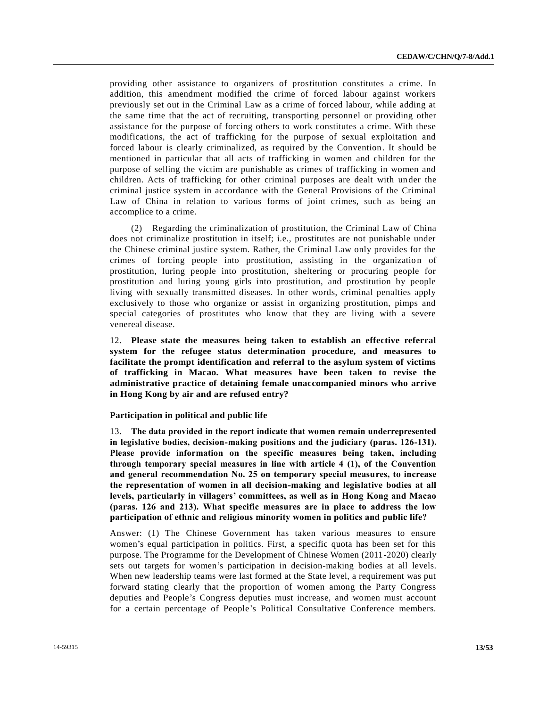providing other assistance to organizers of prostitution constitutes a crime. In addition, this amendment modified the crime of forced labour against workers previously set out in the Criminal Law as a crime of forced labour, while adding at the same time that the act of recruiting, transporting personnel or providing other assistance for the purpose of forcing others to work constitutes a crime. With these modifications, the act of trafficking for the purpose of sexual exploitation and forced labour is clearly criminalized, as required by the Convention. It should be mentioned in particular that all acts of trafficking in women and children for the purpose of selling the victim are punishable as crimes of trafficking in women and children. Acts of trafficking for other criminal purposes are dealt with under the criminal justice system in accordance with the General Provisions of the Criminal Law of China in relation to various forms of joint crimes, such as being an accomplice to a crime.

(2) Regarding the criminalization of prostitution, the Criminal Law of China does not criminalize prostitution in itself; i.e., prostitutes are not punishable under the Chinese criminal justice system. Rather, the Criminal Law only provides for the crimes of forcing people into prostitution, assisting in the organization of prostitution, luring people into prostitution, sheltering or procuring people for prostitution and luring young girls into prostitution, and prostitution by people living with sexually transmitted diseases. In other words, criminal penalties apply exclusively to those who organize or assist in organizing prostitution, pimps and special categories of prostitutes who know that they are living with a severe venereal disease.

12. **Please state the measures being taken to establish an effective referral system for the refugee status determination procedure, and measures to facilitate the prompt identification and referral to the asylum system of victims of trafficking in Macao. What measures have been taken to revise the administrative practice of detaining female unaccompanied minors who arrive in Hong Kong by air and are refused entry?**

#### **Participation in political and public life**

13. **The data provided in the report indicate that women remain underrepresented in legislative bodies, decision-making positions and the judiciary (paras. 126-131). Please provide information on the specific measures being taken, including through temporary special measures in line with article 4 (1), of the Convention and general recommendation No. 25 on temporary special measures, to increase the representation of women in all decision-making and legislative bodies at all levels, particularly in villagers' committees, as well as in Hong Kong and Macao (paras. 126 and 213). What specific measures are in place to address the low participation of ethnic and religious minority women in politics and public life?**

Answer: (1) The Chinese Government has taken various measures to ensure women's equal participation in politics. First, a specific quota has been set for this purpose. The Programme for the Development of Chinese Women (2011-2020) clearly sets out targets for women's participation in decision-making bodies at all levels. When new leadership teams were last formed at the State level, a requirement was put forward stating clearly that the proportion of women among the Party Congress deputies and People's Congress deputies must increase, and women must account for a certain percentage of People's Political Consultative Conference members.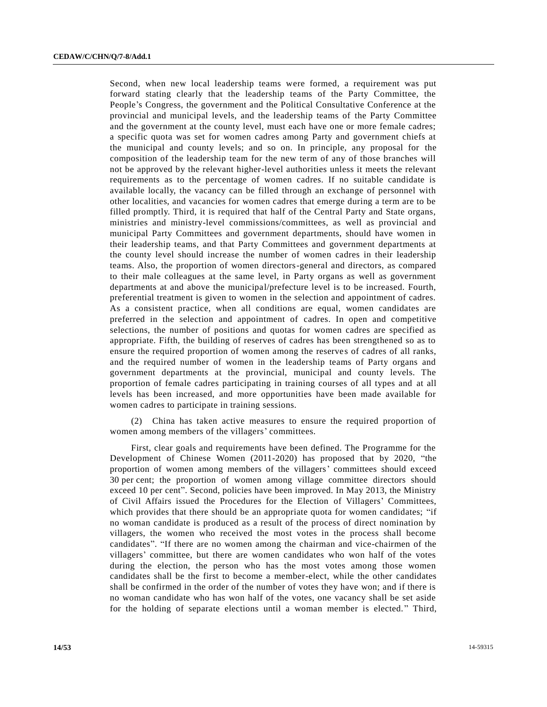Second, when new local leadership teams were formed, a requirement was put forward stating clearly that the leadership teams of the Party Committee, the People's Congress, the government and the Political Consultative Conference at the provincial and municipal levels, and the leadership teams of the Party Committee and the government at the county level, must each have one or more female cadres; a specific quota was set for women cadres among Party and government chiefs at the municipal and county levels; and so on. In principle, any proposal for the composition of the leadership team for the new term of any of those branches will not be approved by the relevant higher-level authorities unless it meets the relevant requirements as to the percentage of women cadres. If no suitable candidate is available locally, the vacancy can be filled through an exchange of personnel with other localities, and vacancies for women cadres that emerge during a term are to be filled promptly. Third, it is required that half of the Central Party and State organs, ministries and ministry-level commissions/committees, as well as provincial and municipal Party Committees and government departments, should have women in their leadership teams, and that Party Committees and government departments at the county level should increase the number of women cadres in their leadership teams. Also, the proportion of women directors-general and directors, as compared to their male colleagues at the same level, in Party organs as well as government departments at and above the municipal/prefecture level is to be increased. Fourth, preferential treatment is given to women in the selection and appointment of cadres. As a consistent practice, when all conditions are equal, women candidates are preferred in the selection and appointment of cadres. In open and competitive selections, the number of positions and quotas for women cadres are specified as appropriate. Fifth, the building of reserves of cadres has been strengthened so as to ensure the required proportion of women among the reserves of cadres of all ranks, and the required number of women in the leadership teams of Party organs and government departments at the provincial, municipal and county levels. The proportion of female cadres participating in training courses of all types and at all levels has been increased, and more opportunities have been made available for women cadres to participate in training sessions.

(2) China has taken active measures to ensure the required proportion of women among members of the villagers' committees.

First, clear goals and requirements have been defined. The Programme for the Development of Chinese Women (2011-2020) has proposed that by 2020, "the proportion of women among members of the villagers' committees should exceed 30 per cent; the proportion of women among village committee directors should exceed 10 per cent". Second, policies have been improved. In May 2013, the Ministry of Civil Affairs issued the Procedures for the Election of Villagers' Committees, which provides that there should be an appropriate quota for women candidates; "if no woman candidate is produced as a result of the process of direct nomination by villagers, the women who received the most votes in the process shall become candidates". "If there are no women among the chairman and vice-chairmen of the villagers' committee, but there are women candidates who won half of the votes during the election, the person who has the most votes among those women candidates shall be the first to become a member-elect, while the other candidates shall be confirmed in the order of the number of votes they have won; and if there is no woman candidate who has won half of the votes, one vacancy shall be set aside for the holding of separate elections until a woman member is elected. " Third,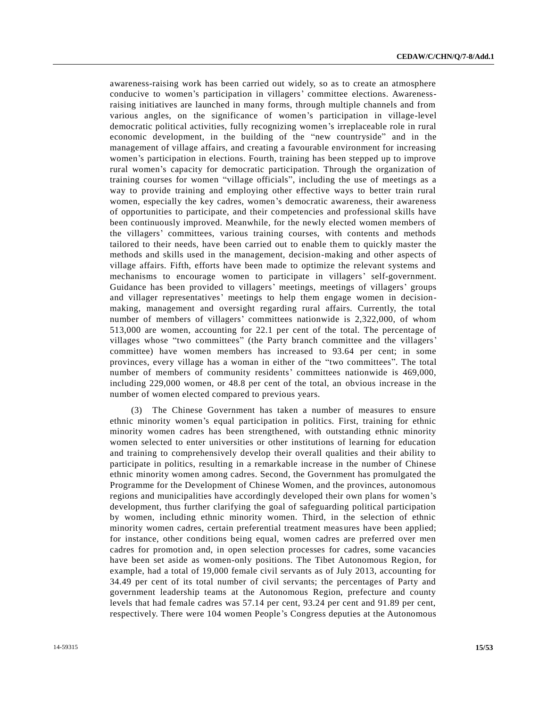awareness-raising work has been carried out widely, so as to create an atmosphere conducive to women's participation in villagers' committee elections. Awarenessraising initiatives are launched in many forms, through multiple channels and from various angles, on the significance of women's participation in village-level democratic political activities, fully recognizing women's irreplaceable role in rural economic development, in the building of the "new countryside" and in the management of village affairs, and creating a favourable environment for increasing women's participation in elections. Fourth, training has been stepped up to improve rural women's capacity for democratic participation. Through the organization of training courses for women "village officials", including the use of meetings as a way to provide training and employing other effective ways to better train rural women, especially the key cadres, women's democratic awareness, their awareness of opportunities to participate, and their competencies and professional skills have been continuously improved. Meanwhile, for the newly elected women members of the villagers' committees, various training courses, with contents and methods tailored to their needs, have been carried out to enable them to quickly master the methods and skills used in the management, decision-making and other aspects of village affairs. Fifth, efforts have been made to optimize the relevant systems and mechanisms to encourage women to participate in villagers' self-government. Guidance has been provided to villagers' meetings, meetings of villagers' groups and villager representatives' meetings to help them engage women in decisionmaking, management and oversight regarding rural affairs. Currently, the total number of members of villagers' committees nationwide is 2,322,000, of whom 513,000 are women, accounting for 22.1 per cent of the total. The percentage of villages whose "two committees" (the Party branch committee and the villagers' committee) have women members has increased to 93.64 per cent; in some provinces, every village has a woman in either of the "two committees". The total number of members of community residents' committees nationwide is 469,000, including 229,000 women, or 48.8 per cent of the total, an obvious increase in the number of women elected compared to previous years.

(3) The Chinese Government has taken a number of measures to ensure ethnic minority women's equal participation in politics. First, training for ethnic minority women cadres has been strengthened, with outstanding ethnic minority women selected to enter universities or other institutions of learning for education and training to comprehensively develop their overall qualities and their ability to participate in politics, resulting in a remarkable increase in the number of Chinese ethnic minority women among cadres. Second, the Government has promulgated the Programme for the Development of Chinese Women, and the provinces, autonomous regions and municipalities have accordingly developed their own plans for women's development, thus further clarifying the goal of safeguarding political participation by women, including ethnic minority women. Third, in the selection of ethnic minority women cadres, certain preferential treatment measures have been applied; for instance, other conditions being equal, women cadres are preferred over men cadres for promotion and, in open selection processes for cadres, some vacancies have been set aside as women-only positions. The Tibet Autonomous Region, for example, had a total of 19,000 female civil servants as of July 2013, accounting for 34.49 per cent of its total number of civil servants; the percentages of Party and government leadership teams at the Autonomous Region, prefecture and county levels that had female cadres was 57.14 per cent, 93.24 per cent and 91.89 per cent, respectively. There were 104 women People's Congress deputies at the Autonomous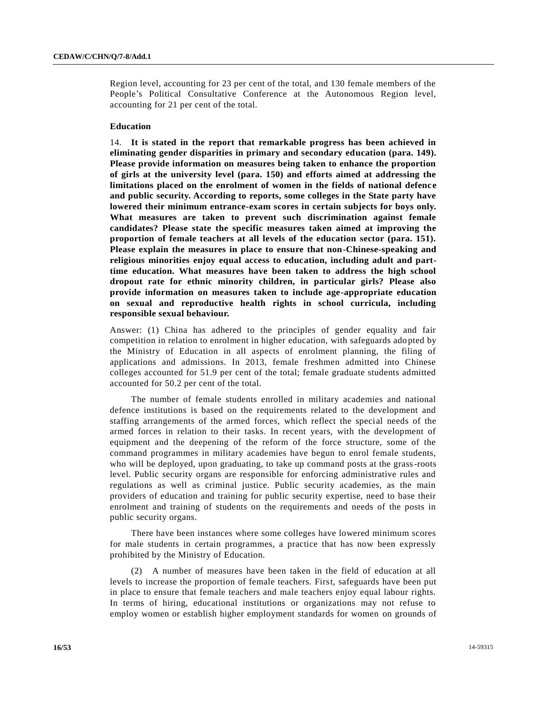Region level, accounting for 23 per cent of the total, and 130 female members of the People's Political Consultative Conference at the Autonomous Region level, accounting for 21 per cent of the total.

### **Education**

14. **It is stated in the report that remarkable progress has been achieved in eliminating gender disparities in primary and secondary education (para. 149). Please provide information on measures being taken to enhance the proportion of girls at the university level (para. 150) and efforts aimed at addressing the limitations placed on the enrolment of women in the fields of national defence and public security. According to reports, some colleges in the State party have lowered their minimum entrance-exam scores in certain subjects for boys only. What measures are taken to prevent such discrimination against female candidates? Please state the specific measures taken aimed at improving the proportion of female teachers at all levels of the education sector (para. 151). Please explain the measures in place to ensure that non-Chinese-speaking and religious minorities enjoy equal access to education, including adult and parttime education. What measures have been taken to address the high school dropout rate for ethnic minority children, in particular girls? Please also provide information on measures taken to include age-appropriate education on sexual and reproductive health rights in school curricula, including responsible sexual behaviour.**

Answer: (1) China has adhered to the principles of gender equality and fair competition in relation to enrolment in higher education, with safeguards ado pted by the Ministry of Education in all aspects of enrolment planning, the filing of applications and admissions. In 2013, female freshmen admitted into Chinese colleges accounted for 51.9 per cent of the total; female graduate students admitted accounted for 50.2 per cent of the total.

The number of female students enrolled in military academies and national defence institutions is based on the requirements related to the development and staffing arrangements of the armed forces, which reflect the special needs of the armed forces in relation to their tasks. In recent years, with the development of equipment and the deepening of the reform of the force structure, some of the command programmes in military academies have begun to enrol female students, who will be deployed, upon graduating, to take up command posts at the grass-roots level. Public security organs are responsible for enforcing administrative rules and regulations as well as criminal justice. Public security academies, as the main providers of education and training for public security expertise, need to base their enrolment and training of students on the requirements and needs of the posts in public security organs.

There have been instances where some colleges have lowered minimum scores for male students in certain programmes, a practice that has now been expressly prohibited by the Ministry of Education.

(2) A number of measures have been taken in the field of education at all levels to increase the proportion of female teachers. First, safeguards have been put in place to ensure that female teachers and male teachers enjoy equal labour rights. In terms of hiring, educational institutions or organizations may not refuse to employ women or establish higher employment standards for women on grounds of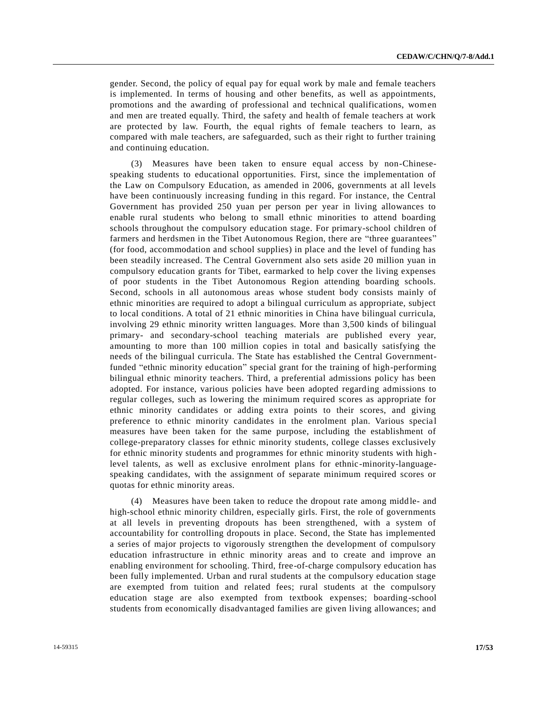gender. Second, the policy of equal pay for equal work by male and female teachers is implemented. In terms of housing and other benefits, as well as appointments, promotions and the awarding of professional and technical qualifications, women and men are treated equally. Third, the safety and health of female teachers at work are protected by law. Fourth, the equal rights of female teachers to learn, as compared with male teachers, are safeguarded, such as their right to further training and continuing education.

(3) Measures have been taken to ensure equal access by non-Chinesespeaking students to educational opportunities. First, since the implementation of the Law on Compulsory Education, as amended in 2006, governments at all levels have been continuously increasing funding in this regard. For instance, the Central Government has provided 250 yuan per person per year in living allowances to enable rural students who belong to small ethnic minorities to attend boarding schools throughout the compulsory education stage. For primary-school children of farmers and herdsmen in the Tibet Autonomous Region, there are "three guarantees" (for food, accommodation and school supplies) in place and the level of funding has been steadily increased. The Central Government also sets aside 20 million yuan in compulsory education grants for Tibet, earmarked to help cover the living expenses of poor students in the Tibet Autonomous Region attending boarding schools. Second, schools in all autonomous areas whose student body consists mainly of ethnic minorities are required to adopt a bilingual curriculum as appropriate, subject to local conditions. A total of 21 ethnic minorities in China have bilingual curricula, involving 29 ethnic minority written languages. More than 3,500 kinds of bilingual primary- and secondary-school teaching materials are published every year, amounting to more than 100 million copies in total and basically satisfying the needs of the bilingual curricula. The State has established the Central Governmentfunded "ethnic minority education" special grant for the training of high-performing bilingual ethnic minority teachers. Third, a preferential admissions policy has been adopted. For instance, various policies have been adopted regarding admissions to regular colleges, such as lowering the minimum required scores as appropriate for ethnic minority candidates or adding extra points to their scores, and giving preference to ethnic minority candidates in the enrolment plan. Various specia l measures have been taken for the same purpose, including the establishment of college-preparatory classes for ethnic minority students, college classes exclusively for ethnic minority students and programmes for ethnic minority students with high level talents, as well as exclusive enrolment plans for ethnic-minority-languagespeaking candidates, with the assignment of separate minimum required scores or quotas for ethnic minority areas.

(4) Measures have been taken to reduce the dropout rate among middle- and high-school ethnic minority children, especially girls. First, the role of governments at all levels in preventing dropouts has been strengthened, with a system of accountability for controlling dropouts in place. Second, the State has implemented a series of major projects to vigorously strengthen the development of compulsory education infrastructure in ethnic minority areas and to create and improve an enabling environment for schooling. Third, free-of-charge compulsory education has been fully implemented. Urban and rural students at the compulsory education stage are exempted from tuition and related fees; rural students at the compulsory education stage are also exempted from textbook expenses; boarding-school students from economically disadvantaged families are given living allowances; and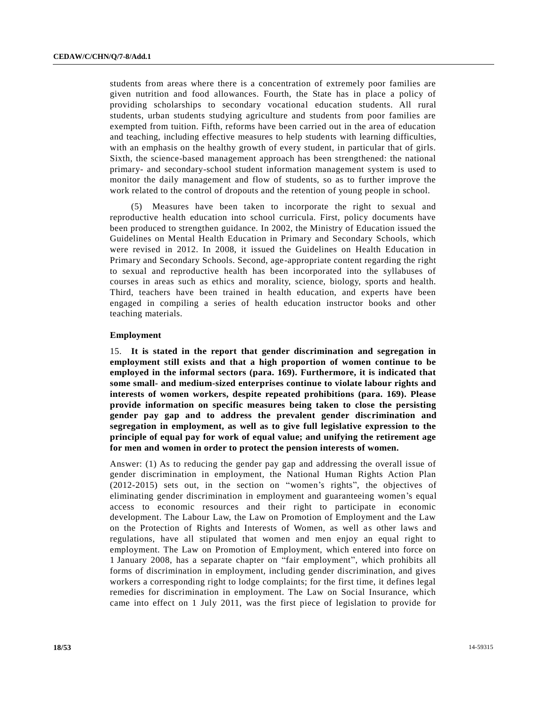students from areas where there is a concentration of extremely poor families are given nutrition and food allowances. Fourth, the State has in place a policy of providing scholarships to secondary vocational education students. All rural students, urban students studying agriculture and students from poor families are exempted from tuition. Fifth, reforms have been carried out in the area of education and teaching, including effective measures to help students with learning difficulties, with an emphasis on the healthy growth of every student, in particular that of girls. Sixth, the science-based management approach has been strengthened: the national primary- and secondary-school student information management system is used to monitor the daily management and flow of students, so as to further improve the work related to the control of dropouts and the retention of young people in school.

(5) Measures have been taken to incorporate the right to sexual and reproductive health education into school curricula. First, policy documents have been produced to strengthen guidance. In 2002, the Ministry of Education issued the Guidelines on Mental Health Education in Primary and Secondary Schools, which were revised in 2012. In 2008, it issued the Guidelines on Health Education in Primary and Secondary Schools. Second, age-appropriate content regarding the right to sexual and reproductive health has been incorporated into the syllabuses of courses in areas such as ethics and morality, science, biology, sports and health. Third, teachers have been trained in health education, and experts have been engaged in compiling a series of health education instructor books and other teaching materials.

#### **Employment**

15. **It is stated in the report that gender discrimination and segregation in employment still exists and that a high proportion of women continue to be employed in the informal sectors (para. 169). Furthermore, it is indicated that some small- and medium-sized enterprises continue to violate labour rights and interests of women workers, despite repeated prohibitions (para. 169). Please provide information on specific measures being taken to close the persisting gender pay gap and to address the prevalent gender discrimination and segregation in employment, as well as to give full legislative expression to the principle of equal pay for work of equal value; and unifying the retirement age for men and women in order to protect the pension interests of women.**

Answer: (1) As to reducing the gender pay gap and addressing the overall issue of gender discrimination in employment, the National Human Rights Action Plan (2012-2015) sets out, in the section on "women's rights", the objectives of eliminating gender discrimination in employment and guaranteeing women's equal access to economic resources and their right to participate in economic development. The Labour Law, the Law on Promotion of Employment and the Law on the Protection of Rights and Interests of Women, as well as other laws and regulations, have all stipulated that women and men enjoy an equal right to employment. The Law on Promotion of Employment, which entered into force on 1 January 2008, has a separate chapter on "fair employment", which prohibits all forms of discrimination in employment, including gender discrimination, and gives workers a corresponding right to lodge complaints; for the first time, it defines legal remedies for discrimination in employment. The Law on Social Insurance, which came into effect on 1 July 2011, was the first piece of legislation to provide for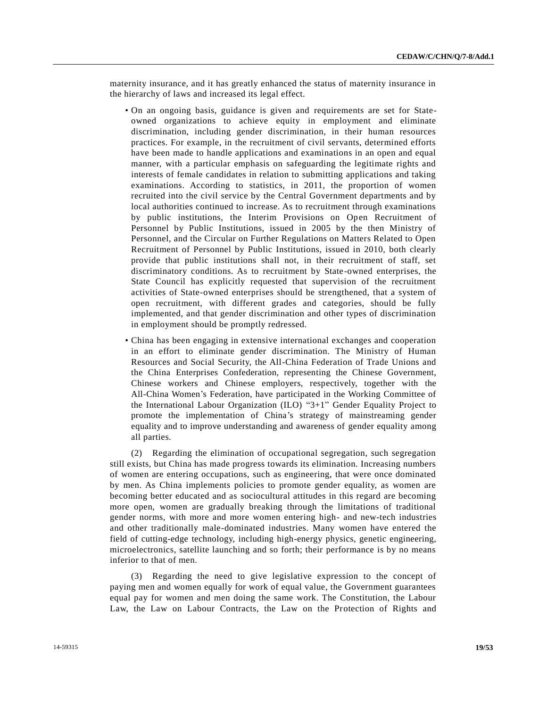maternity insurance, and it has greatly enhanced the status of maternity insurance in the hierarchy of laws and increased its legal effect.

- On an ongoing basis, guidance is given and requirements are set for Stateowned organizations to achieve equity in employment and eliminate discrimination, including gender discrimination, in their human resources practices. For example, in the recruitment of civil servants, determined efforts have been made to handle applications and examinations in an open and equal manner, with a particular emphasis on safeguarding the legitimate rights and interests of female candidates in relation to submitting applications and taking examinations. According to statistics, in 2011, the proportion of women recruited into the civil service by the Central Government departments and by local authorities continued to increase. As to recruitment through examinations by public institutions, the Interim Provisions on Open Recruitment of Personnel by Public Institutions, issued in 2005 by the then Ministry of Personnel, and the Circular on Further Regulations on Matters Related to Open Recruitment of Personnel by Public Institutions, issued in 2010, both clearly provide that public institutions shall not, in their recruitment of staff, set discriminatory conditions. As to recruitment by State-owned enterprises, the State Council has explicitly requested that supervision of the recruitment activities of State-owned enterprises should be strengthened, that a system of open recruitment, with different grades and categories, should be fully implemented, and that gender discrimination and other types of discrimination in employment should be promptly redressed.
- China has been engaging in extensive international exchanges and cooperation in an effort to eliminate gender discrimination. The Ministry of Human Resources and Social Security, the All-China Federation of Trade Unions and the China Enterprises Confederation, representing the Chinese Government, Chinese workers and Chinese employers, respectively, together with the All-China Women's Federation, have participated in the Working Committee of the International Labour Organization (ILO) "3+1" Gender Equality Project to promote the implementation of China's strategy of mainstreaming gender equality and to improve understanding and awareness of gender equality among all parties.

(2) Regarding the elimination of occupational segregation, such segregation still exists, but China has made progress towards its elimination. Increasing numbers of women are entering occupations, such as engineering, that were once dominated by men. As China implements policies to promote gender equality, as women are becoming better educated and as sociocultural attitudes in this regard are becoming more open, women are gradually breaking through the limitations of traditional gender norms, with more and more women entering high- and new-tech industries and other traditionally male-dominated industries. Many women have entered the field of cutting-edge technology, including high-energy physics, genetic engineering, microelectronics, satellite launching and so forth; their performance is by no means inferior to that of men.

(3) Regarding the need to give legislative expression to the concept of paying men and women equally for work of equal value, the Government guarantees equal pay for women and men doing the same work. The Constitution, the Labour Law, the Law on Labour Contracts, the Law on the Protection of Rights and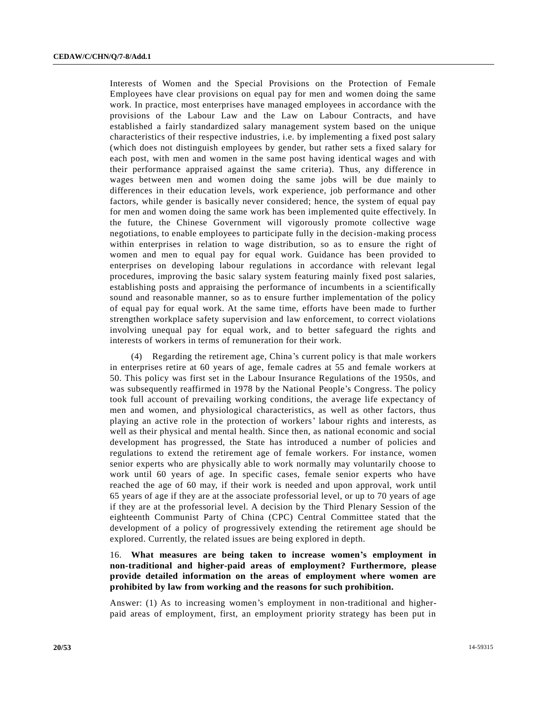Interests of Women and the Special Provisions on the Protection of Female Employees have clear provisions on equal pay for men and women doing the same work. In practice, most enterprises have managed employees in accordance with the provisions of the Labour Law and the Law on Labour Contracts, and have established a fairly standardized salary management system based on the unique characteristics of their respective industries, i.e. by implementing a fixed post salary (which does not distinguish employees by gender, but rather sets a fixed salary for each post, with men and women in the same post having identical wages and with their performance appraised against the same criteria). Thus, any difference in wages between men and women doing the same jobs will be due mainly to differences in their education levels, work experience, job performance and other factors, while gender is basically never considered; hence, the system of equal pay for men and women doing the same work has been implemented quite effectively. In the future, the Chinese Government will vigorously promote collective wage negotiations, to enable employees to participate fully in the decision-making process within enterprises in relation to wage distribution, so as to ensure the right of women and men to equal pay for equal work. Guidance has been provided to enterprises on developing labour regulations in accordance with relevant legal procedures, improving the basic salary system featuring mainly fixed post salaries, establishing posts and appraising the performance of incumbents in a scientifically sound and reasonable manner, so as to ensure further implementation of the policy of equal pay for equal work. At the same time, efforts have been made to further strengthen workplace safety supervision and law enforcement, to correct violations involving unequal pay for equal work, and to better safeguard the rights and interests of workers in terms of remuneration for their work.

(4) Regarding the retirement age, China's current policy is that male workers in enterprises retire at 60 years of age, female cadres at 55 and female workers at 50. This policy was first set in the Labour Insurance Regulations of the 1950s, and was subsequently reaffirmed in 1978 by the National People's Congress. The policy took full account of prevailing working conditions, the average life expectancy of men and women, and physiological characteristics, as well as other factors, thus playing an active role in the protection of workers' labour rights and interests, as well as their physical and mental health. Since then, as national economic and social development has progressed, the State has introduced a number of policies and regulations to extend the retirement age of female workers. For instance, women senior experts who are physically able to work normally may voluntarily choose to work until 60 years of age. In specific cases, female senior experts who have reached the age of 60 may, if their work is needed and upon approval, work until 65 years of age if they are at the associate professorial level, or up to 70 years of age if they are at the professorial level. A decision by the Third Plenary Session of the eighteenth Communist Party of China (CPC) Central Committee stated that the development of a policy of progressively extending the retirement age should be explored. Currently, the related issues are being explored in depth.

## 16. **What measures are being taken to increase women's employment in non-traditional and higher-paid areas of employment? Furthermore, please provide detailed information on the areas of employment where women are prohibited by law from working and the reasons for such prohibition.**

Answer: (1) As to increasing women's employment in non-traditional and higherpaid areas of employment, first, an employment priority strategy has been put in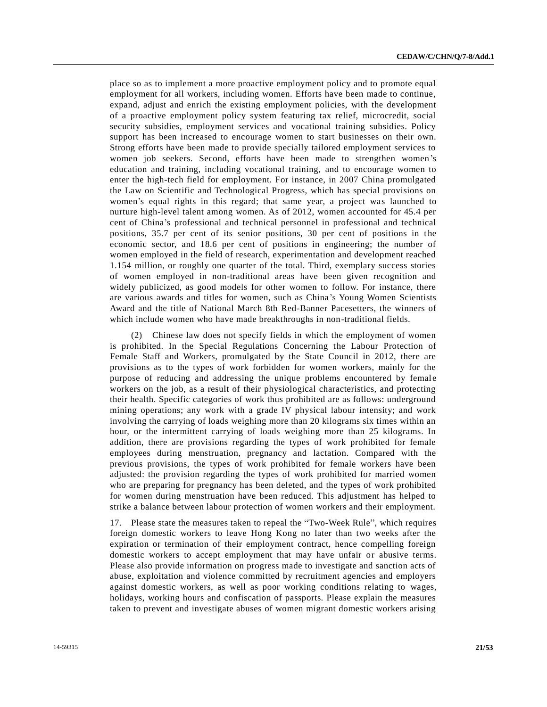place so as to implement a more proactive employment policy and to promote equal employment for all workers, including women. Efforts have been made to continue, expand, adjust and enrich the existing employment policies, with the development of a proactive employment policy system featuring tax relief, microcredit, social security subsidies, employment services and vocational training subsidies. Policy support has been increased to encourage women to start businesses on their own. Strong efforts have been made to provide specially tailored employment services to women job seekers. Second, efforts have been made to strengthen women's education and training, including vocational training, and to encourage women to enter the high-tech field for employment. For instance, in 2007 China promulgated the Law on Scientific and Technological Progress, which has special provisions on women's equal rights in this regard; that same year, a project was launched to nurture high-level talent among women. As of 2012, women accounted for 45.4 per cent of China's professional and technical personnel in professional and technical positions, 35.7 per cent of its senior positions, 30 per cent of positions in the economic sector, and 18.6 per cent of positions in engineering; the number of women employed in the field of research, experimentation and development reached 1.154 million, or roughly one quarter of the total. Third, exemplary success stories of women employed in non-traditional areas have been given recognition and widely publicized, as good models for other women to follow. For instance, there are various awards and titles for women, such as China's Young Women Scientists Award and the title of National March 8th Red-Banner Pacesetters, the winners of which include women who have made breakthroughs in non-traditional fields.

(2) Chinese law does not specify fields in which the employment of women is prohibited. In the Special Regulations Concerning the Labour Protection of Female Staff and Workers, promulgated by the State Council in 2012, there are provisions as to the types of work forbidden for women workers, mainly for the purpose of reducing and addressing the unique problems encountered by female workers on the job, as a result of their physiological characteristics, and protecting their health. Specific categories of work thus prohibited are as follows: underground mining operations; any work with a grade IV physical labour intensity; and work involving the carrying of loads weighing more than 20 kilograms six times within an hour, or the intermittent carrying of loads weighing more than 25 kilograms. In addition, there are provisions regarding the types of work prohibited for female employees during menstruation, pregnancy and lactation. Compared with the previous provisions, the types of work prohibited for female workers have been adjusted: the provision regarding the types of work prohibited for married women who are preparing for pregnancy has been deleted, and the types of work prohibited for women during menstruation have been reduced. This adjustment has helped to strike a balance between labour protection of women workers and their employment.

17. Please state the measures taken to repeal the "Two-Week Rule", which requires foreign domestic workers to leave Hong Kong no later than two weeks after the expiration or termination of their employment contract, hence compelling foreign domestic workers to accept employment that may have unfair or abusive terms. Please also provide information on progress made to investigate and sanction acts of abuse, exploitation and violence committed by recruitment agencies and employers against domestic workers, as well as poor working conditions relating to wages, holidays, working hours and confiscation of passports. Please explain the measures taken to prevent and investigate abuses of women migrant domestic workers arising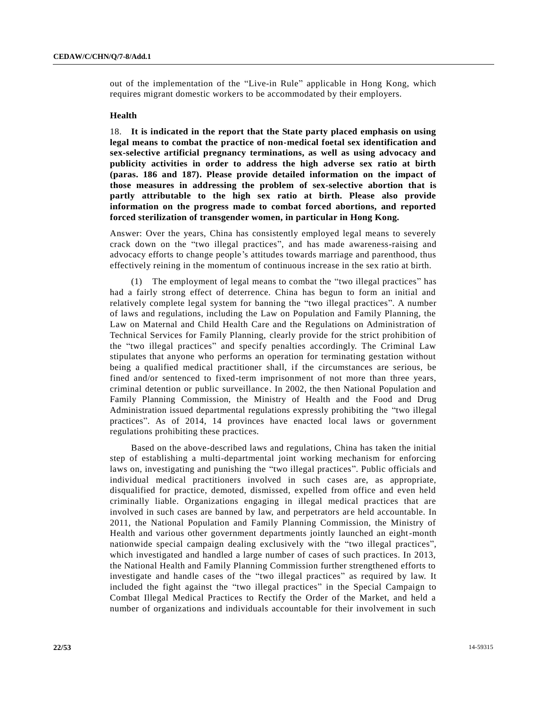out of the implementation of the "Live-in Rule" applicable in Hong Kong, which requires migrant domestic workers to be accommodated by their employers.

#### **Health**

18. **It is indicated in the report that the State party placed emphasis on using legal means to combat the practice of non-medical foetal sex identification and sex-selective artificial pregnancy terminations, as well as using advocacy and publicity activities in order to address the high adverse sex ratio at birth (paras. 186 and 187). Please provide detailed information on the impact of those measures in addressing the problem of sex-selective abortion that is partly attributable to the high sex ratio at birth. Please also provide information on the progress made to combat forced abortions, and reported forced sterilization of transgender women, in particular in Hong Kong.**

Answer: Over the years, China has consistently employed legal means to severely crack down on the "two illegal practices", and has made awareness-raising and advocacy efforts to change people's attitudes towards marriage and parenthood, thus effectively reining in the momentum of continuous increase in the sex ratio at birth.

(1) The employment of legal means to combat the "two illegal practices" has had a fairly strong effect of deterrence. China has begun to form an initial and relatively complete legal system for banning the "two illegal practices". A number of laws and regulations, including the Law on Population and Family Planning, the Law on Maternal and Child Health Care and the Regulations on Administration of Technical Services for Family Planning, clearly provide for the strict prohibition of the "two illegal practices" and specify penalties accordingly. The Criminal Law stipulates that anyone who performs an operation for terminating gestation without being a qualified medical practitioner shall, if the circumstances are serious, be fined and/or sentenced to fixed-term imprisonment of not more than three years, criminal detention or public surveillance. In 2002, the then National Population and Family Planning Commission, the Ministry of Health and the Food and Drug Administration issued departmental regulations expressly prohibiting the "two illegal practices". As of 2014, 14 provinces have enacted local laws or government regulations prohibiting these practices.

Based on the above-described laws and regulations, China has taken the initial step of establishing a multi-departmental joint working mechanism for enforcing laws on, investigating and punishing the "two illegal practices". Public officials and individual medical practitioners involved in such cases are, as appropriate, disqualified for practice, demoted, dismissed, expelled from office and even held criminally liable. Organizations engaging in illegal medical practices that are involved in such cases are banned by law, and perpetrators are held accountable. In 2011, the National Population and Family Planning Commission, the Ministry of Health and various other government departments jointly launched an eight-month nationwide special campaign dealing exclusively with the "two illegal practices", which investigated and handled a large number of cases of such practices. In 2013, the National Health and Family Planning Commission further strengthened efforts to investigate and handle cases of the "two illegal practices" as required by law. It included the fight against the "two illegal practices" in the Special Campaign to Combat Illegal Medical Practices to Rectify the Order of the Market, and held a number of organizations and individuals accountable for their involvement in such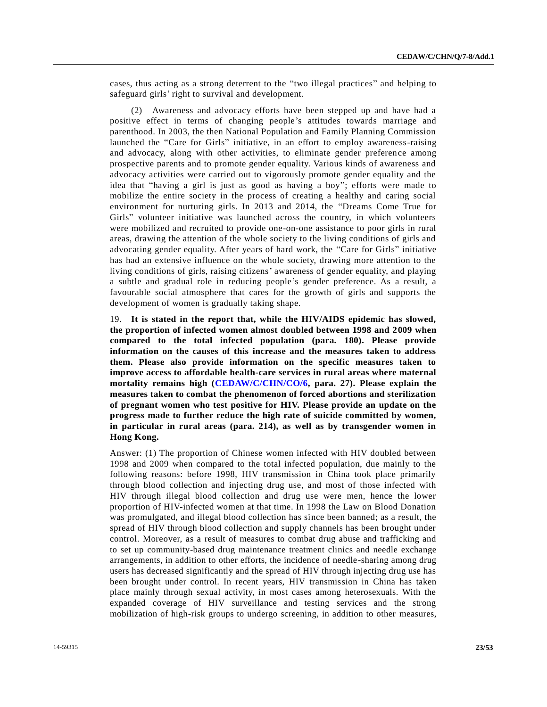cases, thus acting as a strong deterrent to the "two illegal practices" and helping to safeguard girls' right to survival and development.

(2) Awareness and advocacy efforts have been stepped up and have had a positive effect in terms of changing people's attitudes towards marriage and parenthood. In 2003, the then National Population and Family Planning Commission launched the "Care for Girls" initiative, in an effort to employ awareness-raising and advocacy, along with other activities, to eliminate gender preference among prospective parents and to promote gender equality. Various kinds of awareness and advocacy activities were carried out to vigorously promote gender equality and the idea that "having a girl is just as good as having a boy"; efforts were made to mobilize the entire society in the process of creating a healthy and caring social environment for nurturing girls. In 2013 and 2014, the "Dreams Come True for Girls" volunteer initiative was launched across the country, in which volunteers were mobilized and recruited to provide one-on-one assistance to poor girls in rural areas, drawing the attention of the whole society to the living conditions of girls and advocating gender equality. After years of hard work, the "Care for Girls" initiative has had an extensive influence on the whole society, drawing more attention to the living conditions of girls, raising citizens' awareness of gender equality, and playing a subtle and gradual role in reducing people's gender preference. As a result, a favourable social atmosphere that cares for the growth of girls and supports the development of women is gradually taking shape.

19. **It is stated in the report that, while the HIV/AIDS epidemic has slowed, the proportion of infected women almost doubled between 1998 and 2009 when compared to the total infected population (para. 180). Please provide information on the causes of this increase and the measures taken to address them. Please also provide information on the specific measures taken to improve access to affordable health-care services in rural areas where maternal mortality remains high [\(CEDAW/C/CHN/CO/6,](http://undocs.org/CEDAW/C/CHN/CO/6) para. 27). Please explain the measures taken to combat the phenomenon of forced abortions and sterilization of pregnant women who test positive for HIV. Please provide an update on the progress made to further reduce the high rate of suicide committed by women, in particular in rural areas (para. 214), as well as by transgender women in Hong Kong.**

Answer: (1) The proportion of Chinese women infected with HIV doubled between 1998 and 2009 when compared to the total infected population, due mainly to the following reasons: before 1998, HIV transmission in China took place primarily through blood collection and injecting drug use, and most of those infected with HIV through illegal blood collection and drug use were men, hence the lower proportion of HIV-infected women at that time. In 1998 the Law on Blood Donation was promulgated, and illegal blood collection has since been banned; as a result, the spread of HIV through blood collection and supply channels has been brought under control. Moreover, as a result of measures to combat drug abuse and trafficking and to set up community-based drug maintenance treatment clinics and needle exchange arrangements, in addition to other efforts, the incidence of needle-sharing among drug users has decreased significantly and the spread of HIV through injecting drug use has been brought under control. In recent years, HIV transmission in China has taken place mainly through sexual activity, in most cases among heterosexuals. With the expanded coverage of HIV surveillance and testing services and the strong mobilization of high-risk groups to undergo screening, in addition to other measures,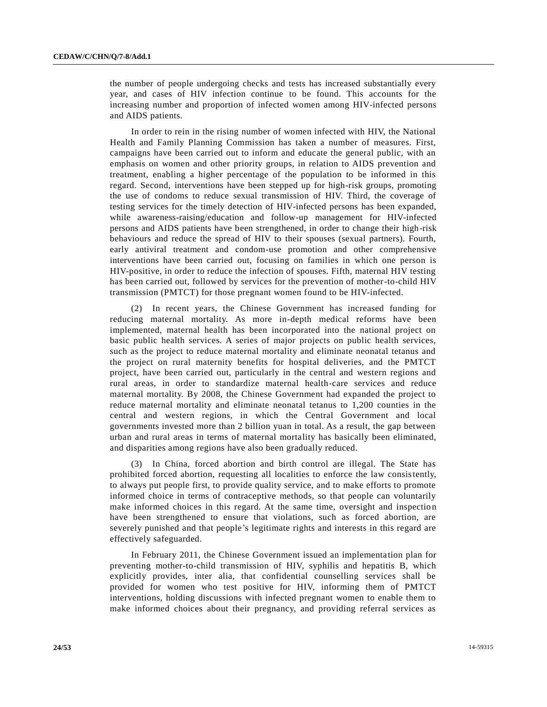the number of people undergoing checks and tests has increased substantially every year, and cases of HIV infection continue to be found. This accounts for the increasing number and proportion of infected women among HIV-infected persons and AIDS patients.

In order to rein in the rising number of women infected with HIV, the National Health and Family Planning Commission has taken a number of measures. First, campaigns have been carried out to inform and educate the general public, with an emphasis on women and other priority groups, in relation to AIDS prevention and treatment, enabling a higher percentage of the population to be informed in this regard. Second, interventions have been stepped up for high-risk groups, promoting the use of condoms to reduce sexual transmission of HIV. Third, the coverage of testing services for the timely detection of HIV-infected persons has been expanded, while awareness-raising/education and follow-up management for HIV-infected persons and AIDS patients have been strengthened, in order to change their high-risk behaviours and reduce the spread of HIV to their spouses (sexual partners). Fourth, early antiviral treatment and condom-use promotion and other comprehensive interventions have been carried out, focusing on families in which one person is HIV-positive, in order to reduce the infection of spouses. Fifth, maternal HIV testing has been carried out, followed by services for the prevention of mother-to-child HIV transmission (PMTCT) for those pregnant women found to be HIV-infected.

(2) In recent years, the Chinese Government has increased funding for reducing maternal mortality. As more in-depth medical reforms have been implemented, maternal health has been incorporated into the national project on basic public health services. A series of major projects on public health services, such as the project to reduce maternal mortality and eliminate neonatal tetanus and the project on rural maternity benefits for hospital deliveries, and the PMTCT project, have been carried out, particularly in the central and western regions and rural areas, in order to standardize maternal health-care services and reduce maternal mortality. By 2008, the Chinese Government had expanded the project to reduce maternal mortality and eliminate neonatal tetanus to 1,200 counties in the central and western regions, in which the Central Government and local governments invested more than 2 billion yuan in total. As a result, the gap between urban and rural areas in terms of maternal mortality has basically been eliminated, and disparities among regions have also been gradually reduced.

(3) In China, forced abortion and birth control are illegal. The State has prohibited forced abortion, requesting all localities to enforce the law consistently, to always put people first, to provide quality service, and to make efforts to promote informed choice in terms of contraceptive methods, so that people can voluntarily make informed choices in this regard. At the same time, oversight and inspection have been strengthened to ensure that violations, such as forced abortion, are severely punished and that people's legitimate rights and interests in this regard are effectively safeguarded.

In February 2011, the Chinese Government issued an implementation plan for preventing mother-to-child transmission of HIV, syphilis and hepatitis B, which explicitly provides, inter alia, that confidential counselling services shall be provided for women who test positive for HIV, informing them of PMTCT interventions, holding discussions with infected pregnant women to enable them to make informed choices about their pregnancy, and providing referral services as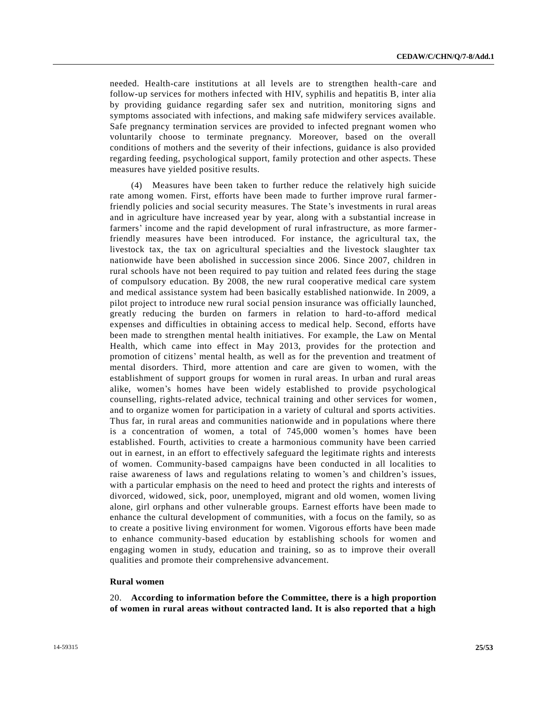needed. Health-care institutions at all levels are to strengthen health-care and follow-up services for mothers infected with HIV, syphilis and hepatitis B, inter alia by providing guidance regarding safer sex and nutrition, monitoring signs and symptoms associated with infections, and making safe midwifery services available. Safe pregnancy termination services are provided to infected pregnant women who voluntarily choose to terminate pregnancy. Moreover, based on the overall conditions of mothers and the severity of their infections, guidance is also provided regarding feeding, psychological support, family protection and other aspects. These measures have yielded positive results.

(4) Measures have been taken to further reduce the relatively high suicide rate among women. First, efforts have been made to further improve rural farmerfriendly policies and social security measures. The State's investments in rural areas and in agriculture have increased year by year, along with a substantial increase in farmers' income and the rapid development of rural infrastructure, as more farmerfriendly measures have been introduced. For instance, the agricultural tax, the livestock tax, the tax on agricultural specialties and the livestock slaughter tax nationwide have been abolished in succession since 2006. Since 2007, children in rural schools have not been required to pay tuition and related fees during the stage of compulsory education. By 2008, the new rural cooperative medical care system and medical assistance system had been basically established nationwide. In 2009, a pilot project to introduce new rural social pension insurance was officially launched, greatly reducing the burden on farmers in relation to hard-to-afford medical expenses and difficulties in obtaining access to medical help. Second, efforts have been made to strengthen mental health initiatives. For example, the Law on Mental Health, which came into effect in May 2013, provides for the protection and promotion of citizens' mental health, as well as for the prevention and treatment of mental disorders. Third, more attention and care are given to women, with the establishment of support groups for women in rural areas. In urban and rural areas alike, women's homes have been widely established to provide psychological counselling, rights-related advice, technical training and other services for women, and to organize women for participation in a variety of cultural and sports activities. Thus far, in rural areas and communities nationwide and in populations where there is a concentration of women, a total of 745,000 women's homes have been established. Fourth, activities to create a harmonious community have been carried out in earnest, in an effort to effectively safeguard the legitimate rights and interests of women. Community-based campaigns have been conducted in all localities to raise awareness of laws and regulations relating to women's and children's issues, with a particular emphasis on the need to heed and protect the rights and interests of divorced, widowed, sick, poor, unemployed, migrant and old women, women living alone, girl orphans and other vulnerable groups. Earnest efforts have been made to enhance the cultural development of communities, with a focus on the family, so as to create a positive living environment for women. Vigorous efforts have been made to enhance community-based education by establishing schools for women and engaging women in study, education and training, so as to improve their overall qualities and promote their comprehensive advancement.

#### **Rural women**

20. **According to information before the Committee, there is a high proportion of women in rural areas without contracted land. It is also reported that a high**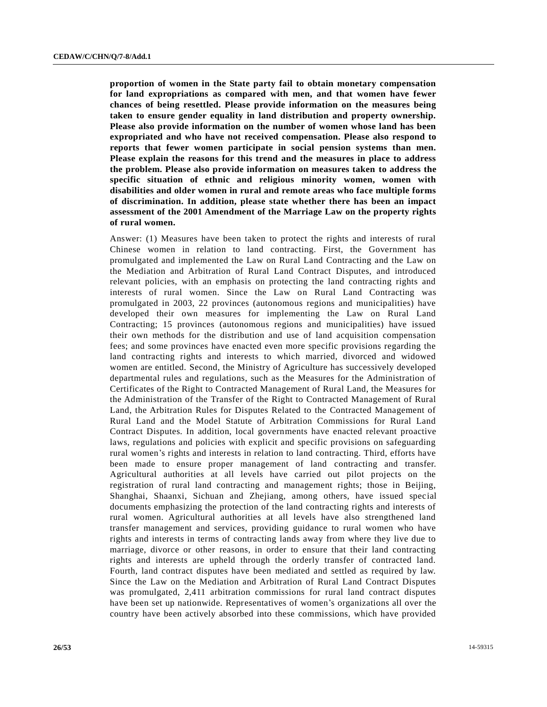**proportion of women in the State party fail to obtain monetary compensation for land expropriations as compared with men, and that women have fewer chances of being resettled. Please provide information on the measures being taken to ensure gender equality in land distribution and property ownership. Please also provide information on the number of women whose land has been expropriated and who have not received compensation. Please also respond to reports that fewer women participate in social pension systems than men. Please explain the reasons for this trend and the measures in place to address the problem. Please also provide information on measures taken to address the specific situation of ethnic and religious minority women, women with disabilities and older women in rural and remote areas who face multiple forms of discrimination. In addition, please state whether there has been an impact assessment of the 2001 Amendment of the Marriage Law on the property rights of rural women.**

Answer: (1) Measures have been taken to protect the rights and interests of rural Chinese women in relation to land contracting. First, the Government has promulgated and implemented the Law on Rural Land Contracting and the Law on the Mediation and Arbitration of Rural Land Contract Disputes, and introduced relevant policies, with an emphasis on protecting the land contracting rights and interests of rural women. Since the Law on Rural Land Contracting was promulgated in 2003, 22 provinces (autonomous regions and municipalities) have developed their own measures for implementing the Law on Rural Land Contracting; 15 provinces (autonomous regions and municipalities) have issued their own methods for the distribution and use of land acquisition compensation fees; and some provinces have enacted even more specific provisions regarding the land contracting rights and interests to which married, divorced and widowed women are entitled. Second, the Ministry of Agriculture has successively developed departmental rules and regulations, such as the Measures for the Administration of Certificates of the Right to Contracted Management of Rural Land, the Measures for the Administration of the Transfer of the Right to Contracted Management of Rural Land, the Arbitration Rules for Disputes Related to the Contracted Management of Rural Land and the Model Statute of Arbitration Commissions for Rural Land Contract Disputes. In addition, local governments have enacted relevant proactive laws, regulations and policies with explicit and specific provisions on safeguarding rural women's rights and interests in relation to land contracting. Third, efforts have been made to ensure proper management of land contracting and transfer. Agricultural authorities at all levels have carried out pilot projects on the registration of rural land contracting and management rights; those in Beijing, Shanghai, Shaanxi, Sichuan and Zhejiang, among others, have issued special documents emphasizing the protection of the land contracting rights and interests of rural women. Agricultural authorities at all levels have also strengthened land transfer management and services, providing guidance to rural women who have rights and interests in terms of contracting lands away from where they live due to marriage, divorce or other reasons, in order to ensure that their land contracting rights and interests are upheld through the orderly transfer of contracted land. Fourth, land contract disputes have been mediated and settled as required by law. Since the Law on the Mediation and Arbitration of Rural Land Contract Disputes was promulgated, 2,411 arbitration commissions for rural land contract disputes have been set up nationwide. Representatives of women's organizations all over the country have been actively absorbed into these commissions, which have provided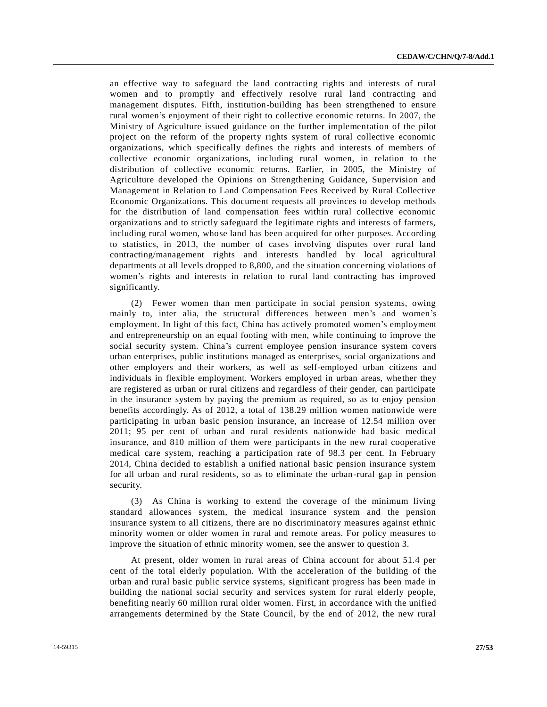an effective way to safeguard the land contracting rights and interests of rural women and to promptly and effectively resolve rural land contracting and management disputes. Fifth, institution-building has been strengthened to ensure rural women's enjoyment of their right to collective economic returns. In 2007, the Ministry of Agriculture issued guidance on the further implementation of the pilot project on the reform of the property rights system of rural collective economic organizations, which specifically defines the rights and interests of members of collective economic organizations, including rural women, in relation to the distribution of collective economic returns. Earlier, in 2005, the Ministry of Agriculture developed the Opinions on Strengthening Guidance, Supervision and Management in Relation to Land Compensation Fees Received by Rural Collective Economic Organizations. This document requests all provinces to develop methods for the distribution of land compensation fees within rural collective economic organizations and to strictly safeguard the legitimate rights and interests of farmers, including rural women, whose land has been acquired for other purposes. According to statistics, in 2013, the number of cases involving disputes over rural land contracting/management rights and interests handled by local agricultural departments at all levels dropped to 8,800, and the situation concerning violations of women's rights and interests in relation to rural land contracting has improved significantly.

(2) Fewer women than men participate in social pension systems, owing mainly to, inter alia, the structural differences between men's and women's employment. In light of this fact, China has actively promoted women's employment and entrepreneurship on an equal footing with men, while continuing to improve the social security system. China's current employee pension insurance system covers urban enterprises, public institutions managed as enterprises, social organizations and other employers and their workers, as well as self-employed urban citizens and individuals in flexible employment. Workers employed in urban areas, whether they are registered as urban or rural citizens and regardless of their gender, can participate in the insurance system by paying the premium as required, so as to enjoy pension benefits accordingly. As of 2012, a total of 138.29 million women nationwide were participating in urban basic pension insurance, an increase of 12.54 million over 2011; 95 per cent of urban and rural residents nationwide had basic medical insurance, and 810 million of them were participants in the new rural cooperative medical care system, reaching a participation rate of 98.3 per cent. In February 2014, China decided to establish a unified national basic pension insurance system for all urban and rural residents, so as to eliminate the urban-rural gap in pension security.

(3) As China is working to extend the coverage of the minimum living standard allowances system, the medical insurance system and the pension insurance system to all citizens, there are no discriminatory measures against ethnic minority women or older women in rural and remote areas. For policy measures to improve the situation of ethnic minority women, see the answer to question 3.

At present, older women in rural areas of China account for about 51.4 per cent of the total elderly population. With the acceleration of the building of the urban and rural basic public service systems, significant progress has been made in building the national social security and services system for rural elderly people, benefiting nearly 60 million rural older women. First, in accordance with the unified arrangements determined by the State Council, by the end of 2012, the new rural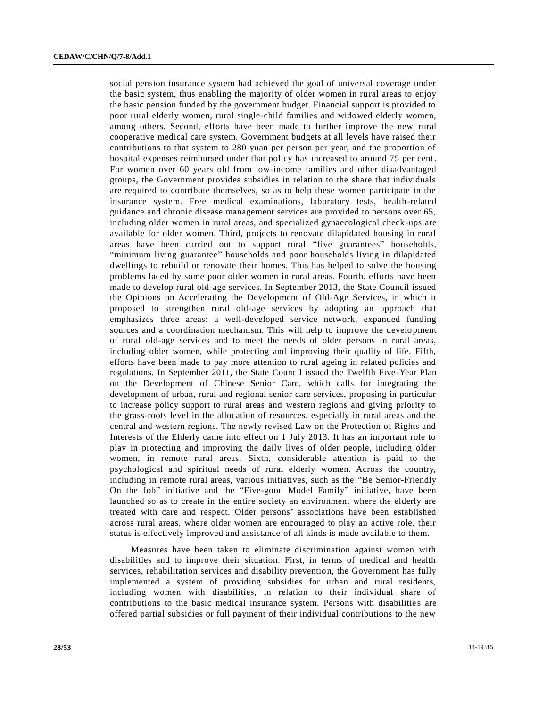social pension insurance system had achieved the goal of universal coverage under the basic system, thus enabling the majority of older women in rural areas to enjoy the basic pension funded by the government budget. Financial support is provided to poor rural elderly women, rural single-child families and widowed elderly women, among others. Second, efforts have been made to further improve the new rural cooperative medical care system. Government budgets at all levels have raised their contributions to that system to 280 yuan per person per year, and the proportion of hospital expenses reimbursed under that policy has increased to around 75 per cent. For women over 60 years old from low-income families and other disadvantaged groups, the Government provides subsidies in relation to the share that individuals are required to contribute themselves, so as to help these women participate in the insurance system. Free medical examinations, laboratory tests, health-related guidance and chronic disease management services are provided to persons over 65, including older women in rural areas, and specialized gynaecological check-ups are available for older women. Third, projects to renovate dilapidated housing in rural areas have been carried out to support rural "five guarantees" households, "minimum living guarantee" households and poor households living in dilapidated dwellings to rebuild or renovate their homes. This has helped to solve the housing problems faced by some poor older women in rural areas. Fourth, efforts have been made to develop rural old-age services. In September 2013, the State Council issued the Opinions on Accelerating the Development of Old-Age Services, in which it proposed to strengthen rural old-age services by adopting an approach that emphasizes three areas: a well-developed service network, expanded funding sources and a coordination mechanism. This will help to improve the develo pment of rural old-age services and to meet the needs of older persons in rural areas, including older women, while protecting and improving their quality of life. Fifth, efforts have been made to pay more attention to rural ageing in related policies and regulations. In September 2011, the State Council issued the Twelfth Five-Year Plan on the Development of Chinese Senior Care, which calls for integrating the development of urban, rural and regional senior care services, proposing in particular to increase policy support to rural areas and western regions and giving priority to the grass-roots level in the allocation of resources, especially in rural areas and the central and western regions. The newly revised Law on the Protection of Rights and Interests of the Elderly came into effect on 1 July 2013. It has an important role to play in protecting and improving the daily lives of older people, including older women, in remote rural areas. Sixth, considerable attention is paid to the psychological and spiritual needs of rural elderly women. Across the country, including in remote rural areas, various initiatives, such as the "Be Senior-Friendly On the Job" initiative and the "Five-good Model Family" initiative, have been launched so as to create in the entire society an environment where the elderly are treated with care and respect. Older persons' associations have been established across rural areas, where older women are encouraged to play an active role, their status is effectively improved and assistance of all kinds is made available to them.

Measures have been taken to eliminate discrimination against women with disabilities and to improve their situation. First, in terms of medical and health services, rehabilitation services and disability prevention, the Government has fully implemented a system of providing subsidies for urban and rural residents, including women with disabilities, in relation to their individual share of contributions to the basic medical insurance system. Persons with disabilities are offered partial subsidies or full payment of their individual contributions to the new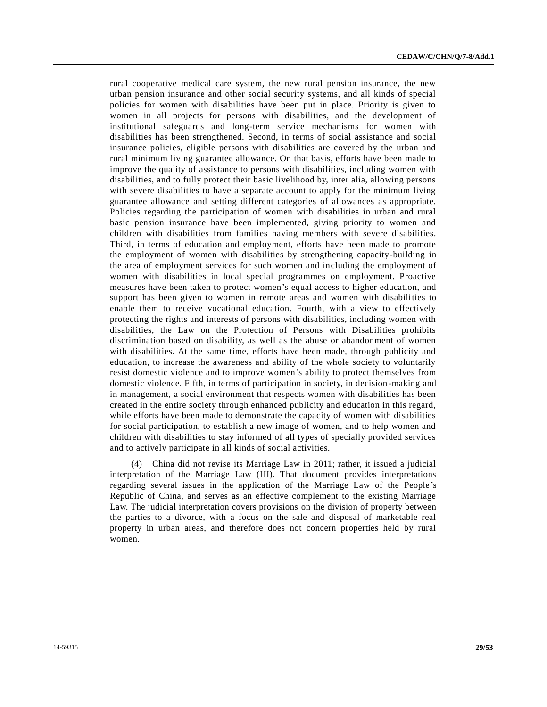rural cooperative medical care system, the new rural pension insurance, the new urban pension insurance and other social security systems, and all kinds of special policies for women with disabilities have been put in place. Priority is given to women in all projects for persons with disabilities, and the development of institutional safeguards and long-term service mechanisms for women with disabilities has been strengthened. Second, in terms of social assistance and social insurance policies, eligible persons with disabilities are covered by the urban and rural minimum living guarantee allowance. On that basis, efforts have been made to improve the quality of assistance to persons with disabilities, including women with disabilities, and to fully protect their basic livelihood by, inter alia, allowing persons with severe disabilities to have a separate account to apply for the minimum living guarantee allowance and setting different categories of allowances as appropriate. Policies regarding the participation of women with disabilities in urban and rural basic pension insurance have been implemented, giving priority to women and children with disabilities from families having members with severe disabilities. Third, in terms of education and employment, efforts have been made to promote the employment of women with disabilities by strengthening capacity-building in the area of employment services for such women and including the employment of women with disabilities in local special programmes on employment. Proactive measures have been taken to protect women's equal access to higher education, and support has been given to women in remote areas and women with disabilities to enable them to receive vocational education. Fourth, with a view to effectively protecting the rights and interests of persons with disabilities, including women with disabilities, the Law on the Protection of Persons with Disabilities prohibits discrimination based on disability, as well as the abuse or abandonment of women with disabilities. At the same time, efforts have been made, through publicity and education, to increase the awareness and ability of the whole society to voluntarily resist domestic violence and to improve women's ability to protect themselves from domestic violence. Fifth, in terms of participation in society, in decision-making and in management, a social environment that respects women with disabilities has been created in the entire society through enhanced publicity and education in this regard, while efforts have been made to demonstrate the capacity of women with disabilities for social participation, to establish a new image of women, and to help women and children with disabilities to stay informed of all types of specially provided services and to actively participate in all kinds of social activities.

(4) China did not revise its Marriage Law in 2011; rather, it issued a judicial interpretation of the Marriage Law (III). That document provides interpretations regarding several issues in the application of the Marriage Law of the People 's Republic of China, and serves as an effective complement to the existing Marriage Law. The judicial interpretation covers provisions on the division of property between the parties to a divorce, with a focus on the sale and disposal of marketable real property in urban areas, and therefore does not concern properties held by rural women.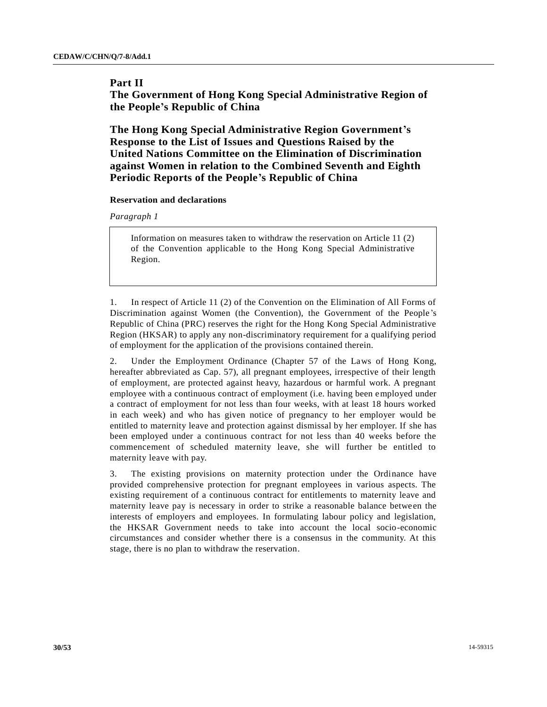# **Part II**

**The Government of Hong Kong Special Administrative Region of the People's Republic of China**

**The Hong Kong Special Administrative Region Government's Response to the List of Issues and Questions Raised by the United Nations Committee on the Elimination of Discrimination against Women in relation to the Combined Seventh and Eighth Periodic Reports of the People's Republic of China**

### **Reservation and declarations**

*Paragraph 1*

Information on measures taken to withdraw the reservation on Article 11 (2) of the Convention applicable to the Hong Kong Special Administrative Region.

1. In respect of Article 11 (2) of the Convention on the Elimination of All Forms of Discrimination against Women (the Convention), the Government of the People 's Republic of China (PRC) reserves the right for the Hong Kong Special Administrative Region (HKSAR) to apply any non-discriminatory requirement for a qualifying period of employment for the application of the provisions contained therein.

2. Under the Employment Ordinance (Chapter 57 of the Laws of Hong Kong, hereafter abbreviated as Cap. 57), all pregnant employees, irrespective of their length of employment, are protected against heavy, hazardous or harmful work. A pregnant employee with a continuous contract of employment (i.e. having been employed under a contract of employment for not less than four weeks, with at least 18 hours worked in each week) and who has given notice of pregnancy to her employer would be entitled to maternity leave and protection against dismissal by her employer. If she has been employed under a continuous contract for not less than 40 weeks before the commencement of scheduled maternity leave, she will further be entitled to maternity leave with pay.

3. The existing provisions on maternity protection under the Ordinance have provided comprehensive protection for pregnant employees in various aspects. The existing requirement of a continuous contract for entitlements to maternity leave and maternity leave pay is necessary in order to strike a reasonable balance between the interests of employers and employees. In formulating labour policy and legislation, the HKSAR Government needs to take into account the local socio-economic circumstances and consider whether there is a consensus in the community. At this stage, there is no plan to withdraw the reservation.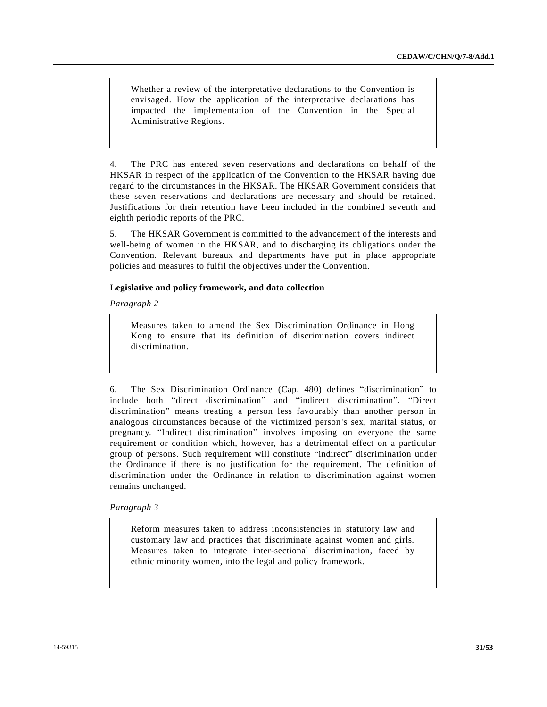Whether a review of the interpretative declarations to the Convention is envisaged. How the application of the interpretative declarations has impacted the implementation of the Convention in the Special Administrative Regions.

4. The PRC has entered seven reservations and declarations on behalf of the HKSAR in respect of the application of the Convention to the HKSAR having due regard to the circumstances in the HKSAR. The HKSAR Government considers that these seven reservations and declarations are necessary and should be retained. Justifications for their retention have been included in the combined seventh and eighth periodic reports of the PRC.

5. The HKSAR Government is committed to the advancement of the interests and well-being of women in the HKSAR, and to discharging its obligations under the Convention. Relevant bureaux and departments have put in place appropriate policies and measures to fulfil the objectives under the Convention.

# **Legislative and policy framework, and data collection**

*Paragraph 2*

Measures taken to amend the Sex Discrimination Ordinance in Hong Kong to ensure that its definition of discrimination covers indirect discrimination.

6. The Sex Discrimination Ordinance (Cap. 480) defines "discrimination" to include both "direct discrimination" and "indirect discrimination". "Direct discrimination" means treating a person less favourably than another person in analogous circumstances because of the victimized person's sex, marital status, or pregnancy. "Indirect discrimination" involves imposing on everyone the same requirement or condition which, however, has a detrimental effect on a particular group of persons. Such requirement will constitute "indirect" discrimination under the Ordinance if there is no justification for the requirement. The definition of discrimination under the Ordinance in relation to discrimination against women remains unchanged.

*Paragraph 3*

Reform measures taken to address inconsistencies in statutory law and customary law and practices that discriminate against women and girls. Measures taken to integrate inter-sectional discrimination, faced by ethnic minority women, into the legal and policy framework.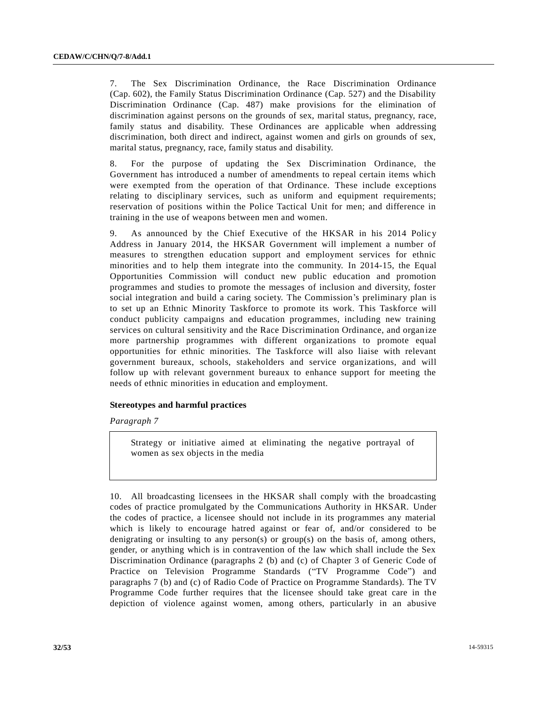7. The Sex Discrimination Ordinance, the Race Discrimination Ordinance (Cap. 602), the Family Status Discrimination Ordinance (Cap. 527) and the Disability Discrimination Ordinance (Cap. 487) make provisions for the elimination of discrimination against persons on the grounds of sex, marital status, pregnancy, race, family status and disability. These Ordinances are applicable when addressing discrimination, both direct and indirect, against women and girls on grounds of sex, marital status, pregnancy, race, family status and disability.

8. For the purpose of updating the Sex Discrimination Ordinance, the Government has introduced a number of amendments to repeal certain items which were exempted from the operation of that Ordinance. These include exceptions relating to disciplinary services, such as uniform and equipment requirements; reservation of positions within the Police Tactical Unit for men; and difference in training in the use of weapons between men and women.

9. As announced by the Chief Executive of the HKSAR in his 2014 Policy Address in January 2014, the HKSAR Government will implement a number of measures to strengthen education support and employment services for ethnic minorities and to help them integrate into the community. In 2014-15, the Equal Opportunities Commission will conduct new public education and promotion programmes and studies to promote the messages of inclusion and diversity, foster social integration and build a caring society. The Commission's preliminary plan is to set up an Ethnic Minority Taskforce to promote its work. This Taskforce will conduct publicity campaigns and education programmes, including new training services on cultural sensitivity and the Race Discrimination Ordinance, and organ ize more partnership programmes with different organizations to promote equal opportunities for ethnic minorities. The Taskforce will also liaise with relevant government bureaux, schools, stakeholders and service organizations, and will follow up with relevant government bureaux to enhance support for meeting the needs of ethnic minorities in education and employment.

## **Stereotypes and harmful practices**

*Paragraph 7*

Strategy or initiative aimed at eliminating the negative portrayal of women as sex objects in the media

10. All broadcasting licensees in the HKSAR shall comply with the broadcasting codes of practice promulgated by the Communications Authority in HKSAR. Under the codes of practice, a licensee should not include in its programmes any material which is likely to encourage hatred against or fear of, and/or considered to be denigrating or insulting to any person(s) or group(s) on the basis of, among others, gender, or anything which is in contravention of the law which shall include the Sex Discrimination Ordinance (paragraphs 2 (b) and (c) of Chapter 3 of Generic Code of Practice on Television Programme Standards ("TV Programme Code") and paragraphs 7 (b) and (c) of Radio Code of Practice on Programme Standards). The TV Programme Code further requires that the licensee should take great care in the depiction of violence against women, among others, particularly in an abusive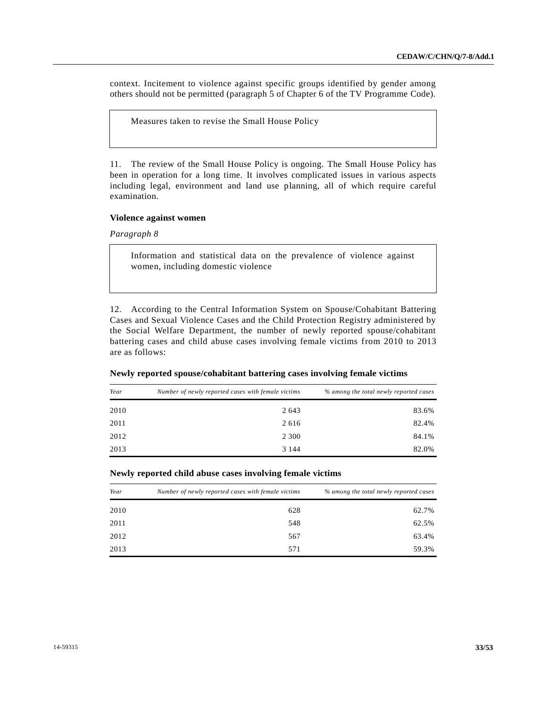context. Incitement to violence against specific groups identified by gender among others should not be permitted (paragraph 5 of Chapter 6 of the TV Programme Code).

Measures taken to revise the Small House Policy

11. The review of the Small House Policy is ongoing. The Small House Policy has been in operation for a long time. It involves complicated issues in various aspects including legal, environment and land use planning, all of which require careful examination.

### **Violence against women**

*Paragraph 8*

Information and statistical data on the prevalence of violence against women, including domestic violence

12. According to the Central Information System on Spouse/Cohabitant Battering Cases and Sexual Violence Cases and the Child Protection Registry administered by the Social Welfare Department, the number of newly reported spouse/cohabitant battering cases and child abuse cases involving female victims from 2010 to 2013 are as follows:

| Year | Number of newly reported cases with female victims | % among the total newly reported cases |  |
|------|----------------------------------------------------|----------------------------------------|--|
| 2010 | 2643                                               | 83.6%                                  |  |
| 2011 | 2616                                               | 82.4%                                  |  |
| 2012 | 2 3 0 0                                            | 84.1%                                  |  |
| 2013 | 3 1 4 4                                            | 82.0%                                  |  |

## **Newly reported spouse/cohabitant battering cases involving female victims**

#### **Newly reported child abuse cases involving female victims**

| Year | Number of newly reported cases with female victims | % among the total newly reported cases |  |  |
|------|----------------------------------------------------|----------------------------------------|--|--|
| 2010 | 628                                                | 62.7%                                  |  |  |
| 2011 | 548                                                | 62.5%                                  |  |  |
| 2012 | 567                                                | 63.4%                                  |  |  |
| 2013 | 571                                                | 59.3%                                  |  |  |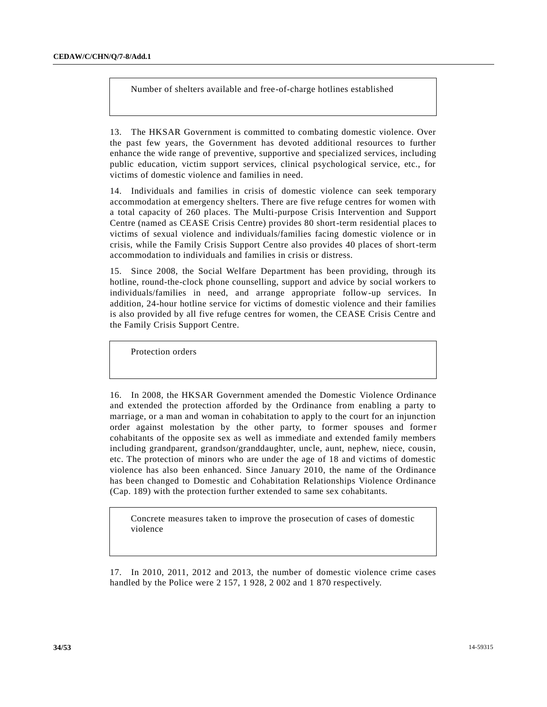Number of shelters available and free-of-charge hotlines established

13. The HKSAR Government is committed to combating domestic violence. Over the past few years, the Government has devoted additional resources to further enhance the wide range of preventive, supportive and specialized services, including public education, victim support services, clinical psychological service, etc., for victims of domestic violence and families in need.

14. Individuals and families in crisis of domestic violence can seek temporary accommodation at emergency shelters. There are five refuge centres for women with a total capacity of 260 places. The Multi-purpose Crisis Intervention and Support Centre (named as CEASE Crisis Centre) provides 80 short-term residential places to victims of sexual violence and individuals/families facing domestic violence or in crisis, while the Family Crisis Support Centre also provides 40 places of short-term accommodation to individuals and families in crisis or distress.

15. Since 2008, the Social Welfare Department has been providing, through its hotline, round-the-clock phone counselling, support and advice by social workers to individuals/families in need, and arrange appropriate follow-up services. In addition, 24-hour hotline service for victims of domestic violence and their families is also provided by all five refuge centres for women, the CEASE Crisis Centre and the Family Crisis Support Centre.

Protection orders

16. In 2008, the HKSAR Government amended the Domestic Violence Ordinance and extended the protection afforded by the Ordinance from enabling a party to marriage, or a man and woman in cohabitation to apply to the court for an injunction order against molestation by the other party, to former spouses and former cohabitants of the opposite sex as well as immediate and extended family members including grandparent, grandson/granddaughter, uncle, aunt, nephew, niece, cousin, etc. The protection of minors who are under the age of 18 and victims of domestic violence has also been enhanced. Since January 2010, the name of the Ordinance has been changed to Domestic and Cohabitation Relationships Violence Ordinance (Cap. 189) with the protection further extended to same sex cohabitants.

Concrete measures taken to improve the prosecution of cases of domestic violence

17. In 2010, 2011, 2012 and 2013, the number of domestic violence crime cases handled by the Police were 2 157, 1 928, 2 002 and 1 870 respectively.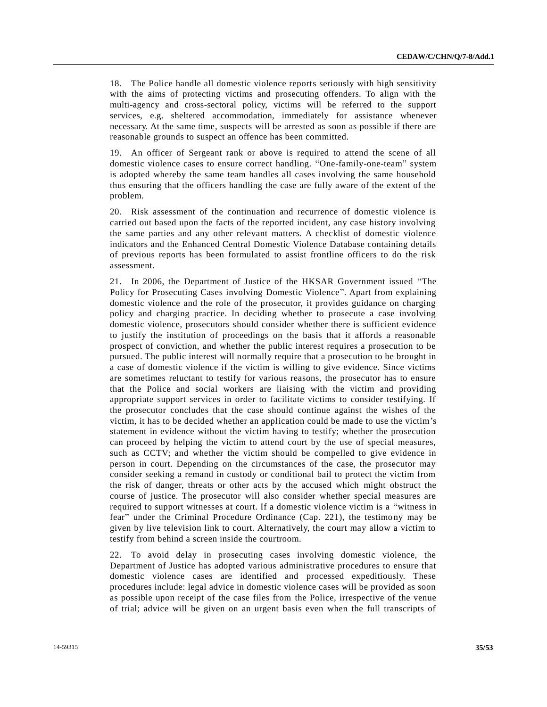18. The Police handle all domestic violence reports seriously with high sensitivity with the aims of protecting victims and prosecuting offenders. To align with the multi-agency and cross-sectoral policy, victims will be referred to the support services, e.g. sheltered accommodation, immediately for assistance whenever necessary. At the same time, suspects will be arrested as soon as possible if there are reasonable grounds to suspect an offence has been committed.

19. An officer of Sergeant rank or above is required to attend the scene of all domestic violence cases to ensure correct handling. "One-family-one-team" system is adopted whereby the same team handles all cases involving the same household thus ensuring that the officers handling the case are fully aware of the extent of the problem.

20. Risk assessment of the continuation and recurrence of domestic violence is carried out based upon the facts of the reported incident, any case history involving the same parties and any other relevant matters. A checklist of domestic violence indicators and the Enhanced Central Domestic Violence Database containing details of previous reports has been formulated to assist frontline officers to do the risk assessment.

21. In 2006, the Department of Justice of the HKSAR Government issued "The Policy for Prosecuting Cases involving Domestic Violence". Apart from explaining domestic violence and the role of the prosecutor, it provides guidance on charging policy and charging practice. In deciding whether to prosecute a case involving domestic violence, prosecutors should consider whether there is sufficient evidence to justify the institution of proceedings on the basis that it affords a reasonable prospect of conviction, and whether the public interest requires a prosecution to be pursued. The public interest will normally require that a prosecution to be brought in a case of domestic violence if the victim is willing to give evidence. Since victims are sometimes reluctant to testify for various reasons, the prosecutor has to ensure that the Police and social workers are liaising with the victim and providing appropriate support services in order to facilitate victims to consider testifying. If the prosecutor concludes that the case should continue against the wishes of the victim, it has to be decided whether an application could be made to use the victim's statement in evidence without the victim having to testify; whether the prosecution can proceed by helping the victim to attend court by the use of special measures, such as CCTV; and whether the victim should be compelled to give evidence in person in court. Depending on the circumstances of the case, the prosecutor may consider seeking a remand in custody or conditional bail to protect the victim from the risk of danger, threats or other acts by the accused which might obstruct the course of justice. The prosecutor will also consider whether special measures are required to support witnesses at court. If a domestic violence victim is a "witness in fear" under the Criminal Procedure Ordinance (Cap. 221), the testimo ny may be given by live television link to court. Alternatively, the court may allow a victim to testify from behind a screen inside the courtroom.

22. To avoid delay in prosecuting cases involving domestic violence, the Department of Justice has adopted various administrative procedures to ensure that domestic violence cases are identified and processed expeditiously. These procedures include: legal advice in domestic violence cases will be provided as soon as possible upon receipt of the case files from the Police, irrespective of the venue of trial; advice will be given on an urgent basis even when the full transcripts of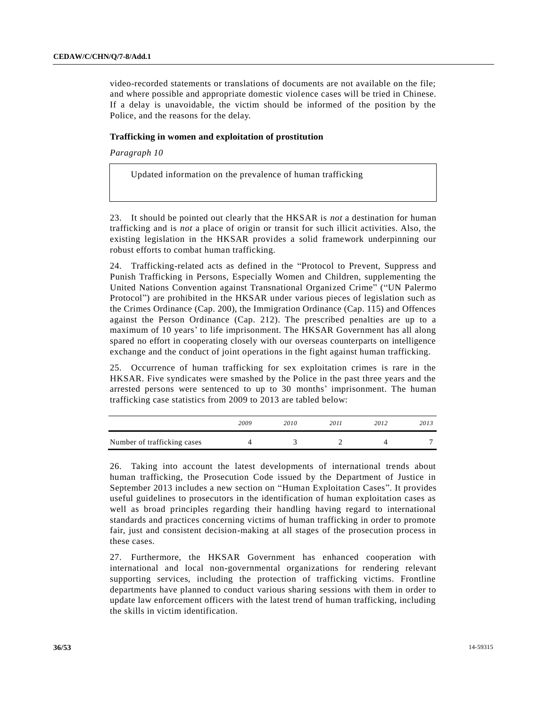video-recorded statements or translations of documents are not available on the file; and where possible and appropriate domestic violence cases will be tried in Chinese. If a delay is unavoidable, the victim should be informed of the position by the Police, and the reasons for the delay.

## **Trafficking in women and exploitation of prostitution**

*Paragraph 10*

Updated information on the prevalence of human trafficking

23. It should be pointed out clearly that the HKSAR is *not* a destination for human trafficking and is *not* a place of origin or transit for such illicit activities. Also, the existing legislation in the HKSAR provides a solid framework underpinning our robust efforts to combat human trafficking.

24. Trafficking-related acts as defined in the "Protocol to Prevent, Suppress and Punish Trafficking in Persons, Especially Women and Children, supplementing the United Nations Convention against Transnational Organized Crime" ("UN Palermo Protocol") are prohibited in the HKSAR under various pieces of legislation such as the Crimes Ordinance (Cap. 200), the Immigration Ordinance (Cap. 115) and Offences against the Person Ordinance (Cap. 212). The prescribed penalties are up to a maximum of 10 years' to life imprisonment. The HKSAR Government has all along spared no effort in cooperating closely with our overseas counterparts on intelligence exchange and the conduct of joint operations in the fight against human trafficking.

25. Occurrence of human trafficking for sex exploitation crimes is rare in the HKSAR. Five syndicates were smashed by the Police in the past three years and the arrested persons were sentenced to up to 30 months' imprisonment. The human trafficking case statistics from 2009 to 2013 are tabled below:

|                             | 2009 | 2010 | 2011 | 2012 | 2013 |
|-----------------------------|------|------|------|------|------|
| Number of trafficking cases |      |      |      |      | -    |

26. Taking into account the latest developments of international trends about human trafficking, the Prosecution Code issued by the Department of Justice in September 2013 includes a new section on "Human Exploitation Cases". It provides useful guidelines to prosecutors in the identification of human exploitation cases as well as broad principles regarding their handling having regard to international standards and practices concerning victims of human trafficking in order to promote fair, just and consistent decision-making at all stages of the prosecution process in these cases.

27. Furthermore, the HKSAR Government has enhanced cooperation with international and local non-governmental organizations for rendering relevant supporting services, including the protection of trafficking victims. Frontline departments have planned to conduct various sharing sessions with them in order to update law enforcement officers with the latest trend of human trafficking, including the skills in victim identification.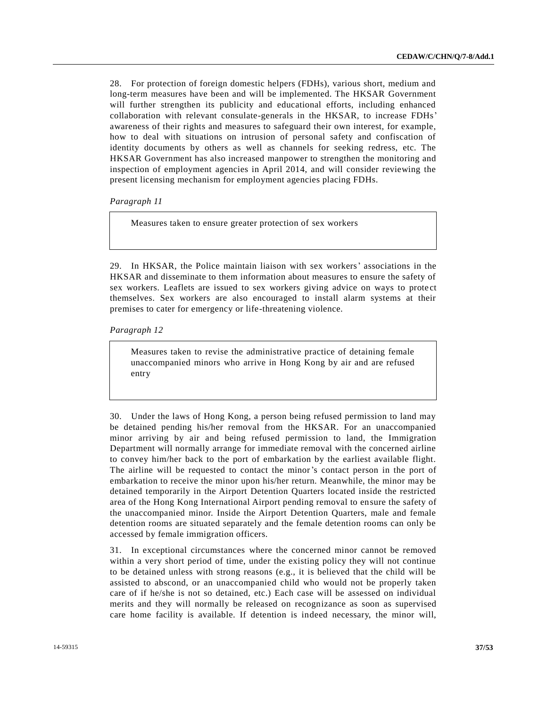28. For protection of foreign domestic helpers (FDHs), various short, medium and long-term measures have been and will be implemented. The HKSAR Government will further strengthen its publicity and educational efforts, including enhanced collaboration with relevant consulate-generals in the HKSAR, to increase FDHs' awareness of their rights and measures to safeguard their own interest, for example, how to deal with situations on intrusion of personal safety and confiscation of identity documents by others as well as channels for seeking redress, etc. The HKSAR Government has also increased manpower to strengthen the monitoring and inspection of employment agencies in April 2014, and will consider reviewing the present licensing mechanism for employment agencies placing FDHs.

*Paragraph 11*

Measures taken to ensure greater protection of sex workers

29. In HKSAR, the Police maintain liaison with sex workers' associations in the HKSAR and disseminate to them information about measures to ensure the safety of sex workers. Leaflets are issued to sex workers giving advice on ways to protect themselves. Sex workers are also encouraged to install alarm systems at their premises to cater for emergency or life-threatening violence.

*Paragraph 12*

Measures taken to revise the administrative practice of detaining female unaccompanied minors who arrive in Hong Kong by air and are refused entry

30. Under the laws of Hong Kong, a person being refused permission to land may be detained pending his/her removal from the HKSAR. For an unaccompanied minor arriving by air and being refused permission to land, the Immigration Department will normally arrange for immediate removal with the concerned airline to convey him/her back to the port of embarkation by the earliest available flight. The airline will be requested to contact the minor's contact person in the port of embarkation to receive the minor upon his/her return. Meanwhile, the minor may be detained temporarily in the Airport Detention Quarters located inside the restricted area of the Hong Kong International Airport pending removal to ensure the safety of the unaccompanied minor. Inside the Airport Detention Quarters, male and female detention rooms are situated separately and the female detention rooms can only be accessed by female immigration officers.

31. In exceptional circumstances where the concerned minor cannot be removed within a very short period of time, under the existing policy they will not continue to be detained unless with strong reasons (e.g., it is believed that the child will be assisted to abscond, or an unaccompanied child who would not be properly taken care of if he/she is not so detained, etc.) Each case will be assessed on individual merits and they will normally be released on recognizance as soon as supervised care home facility is available. If detention is indeed necessary, the minor will,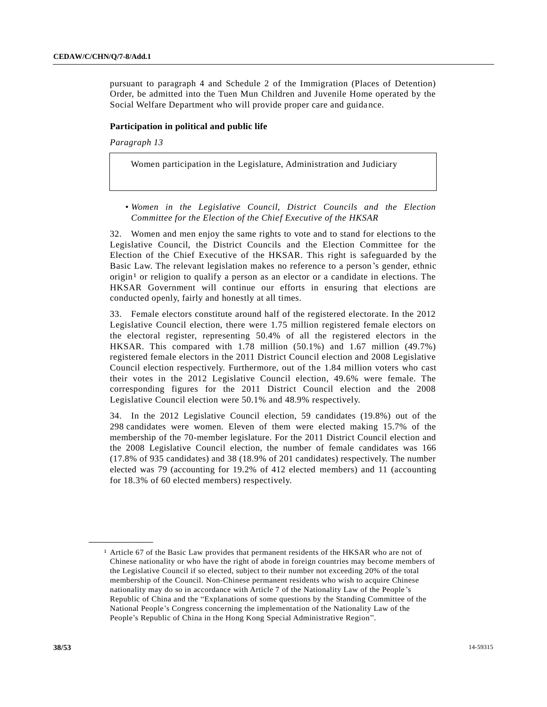pursuant to paragraph 4 and Schedule 2 of the Immigration (Places of Detention) Order, be admitted into the Tuen Mun Children and Juvenile Home operated by the Social Welfare Department who will provide proper care and guidance.

#### **Participation in political and public life**

#### *Paragraph 13*

Women participation in the Legislature, Administration and Judiciary

*• Women in the Legislative Council, District Councils and the Election Committee for the Election of the Chief Executive of the HKSAR*

32. Women and men enjoy the same rights to vote and to stand for elections to the Legislative Council, the District Councils and the Election Committee for the Election of the Chief Executive of the HKSAR. This right is safeguarded by the Basic Law. The relevant legislation makes no reference to a person's gender, ethnic origin<sup>1</sup> or religion to qualify a person as an elector or a candidate in elections. The HKSAR Government will continue our efforts in ensuring that elections are conducted openly, fairly and honestly at all times.

33. Female electors constitute around half of the registered electorate. In the 2012 Legislative Council election, there were 1.75 million registered female electors on the electoral register, representing 50.4% of all the registered electors in the HKSAR. This compared with 1.78 million (50.1%) and 1.67 million (49.7%) registered female electors in the 2011 District Council election and 2008 Legislative Council election respectively. Furthermore, out of the 1.84 million voters who cast their votes in the 2012 Legislative Council election, 49.6% were female. The corresponding figures for the 2011 District Council election and the 2008 Legislative Council election were 50.1% and 48.9% respectively.

34. In the 2012 Legislative Council election, 59 candidates (19.8%) out of the 298 candidates were women. Eleven of them were elected making 15.7% of the membership of the 70-member legislature. For the 2011 District Council election and the 2008 Legislative Council election, the number of female candidates was 166 (17.8% of 935 candidates) and 38 (18.9% of 201 candidates) respectively. The number elected was 79 (accounting for 19.2% of 412 elected members) and 11 (accounting for 18.3% of 60 elected members) respectively.

**\_\_\_\_\_\_\_\_\_\_\_\_\_\_\_\_\_\_**

<sup>1</sup> Article 67 of the Basic Law provides that permanent residents of the HKSAR who are not of Chinese nationality or who have the right of abode in foreign countries may become members of the Legislative Council if so elected, subject to their number not exceeding 20% of the total membership of the Council. Non-Chinese permanent residents who wish to acquire Chinese nationality may do so in accordance with Article 7 of the Nationality Law of the People 's Republic of China and the "Explanations of some questions by the Standing Committee of the National People's Congress concerning the implementation of the Nationality Law of the People's Republic of China in the Hong Kong Special Administrative Region".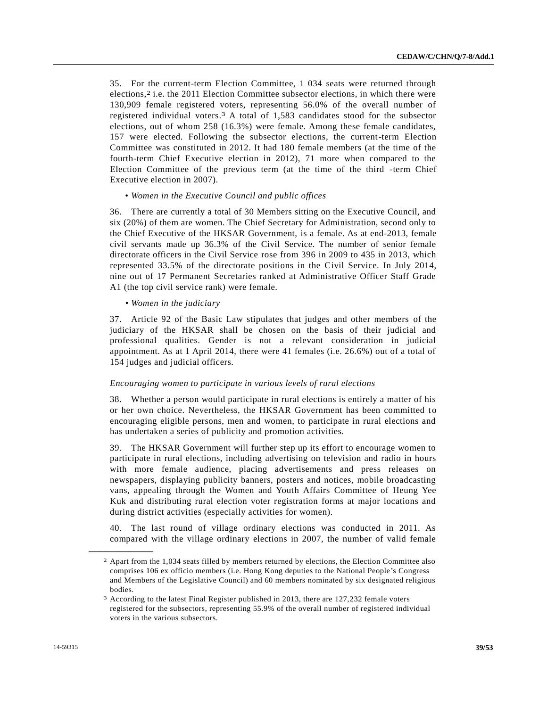35. For the current-term Election Committee, 1 034 seats were returned through elections,<sup>2</sup> i.e. the 2011 Election Committee subsector elections, in which there were 130,909 female registered voters, representing 56.0% of the overall number of registered individual voters. 3 A total of 1,583 candidates stood for the subsector elections, out of whom 258 (16.3%) were female. Among these female candidates, 157 were elected. Following the subsector elections, the current-term Election Committee was constituted in 2012. It had 180 female members (at the time of the fourth-term Chief Executive election in 2012), 71 more when compared to the Election Committee of the previous term (at the time of the third -term Chief Executive election in 2007).

## • *Women in the Executive Council and public offices*

36. There are currently a total of 30 Members sitting on the Executive Council, and six (20%) of them are women. The Chief Secretary for Administration, second only to the Chief Executive of the HKSAR Government, is a female. As at end-2013, female civil servants made up 36.3% of the Civil Service. The number of senior female directorate officers in the Civil Service rose from 396 in 2009 to 435 in 2013, which represented 33.5% of the directorate positions in the Civil Service. In July 2014, nine out of 17 Permanent Secretaries ranked at Administrative Officer Staff Grade A1 (the top civil service rank) were female.

#### *• Women in the judiciary*

37. Article 92 of the Basic Law stipulates that judges and other members of the judiciary of the HKSAR shall be chosen on the basis of their judicial and professional qualities. Gender is not a relevant consideration in judicial appointment. As at 1 April 2014, there were 41 females (i.e. 26.6%) out of a total of 154 judges and judicial officers.

#### *Encouraging women to participate in various levels of rural elections*

38. Whether a person would participate in rural elections is entirely a matter of his or her own choice. Nevertheless, the HKSAR Government has been committed to encouraging eligible persons, men and women, to participate in rural elections and has undertaken a series of publicity and promotion activities.

39. The HKSAR Government will further step up its effort to encourage women to participate in rural elections, including advertising on television and radio in hours with more female audience, placing advertisements and press releases on newspapers, displaying publicity banners, posters and notices, mobile broadcasting vans, appealing through the Women and Youth Affairs Committee of Heung Yee Kuk and distributing rural election voter registration forms at major locations and during district activities (especially activities for women).

40. The last round of village ordinary elections was conducted in 2011. As compared with the village ordinary elections in 2007, the number of valid female

**\_\_\_\_\_\_\_\_\_\_\_\_\_\_\_\_\_\_**

<sup>2</sup> Apart from the 1,034 seats filled by members returned by elections, the Election Committee also comprises 106 ex officio members (i.e. Hong Kong deputies to the National People's Congress and Members of the Legislative Council) and 60 members nominated by six designated religious bodies.

<sup>3</sup> According to the latest Final Register published in 2013, there are 127,232 female voters registered for the subsectors, representing 55.9% of the overall number of registered individual voters in the various subsectors.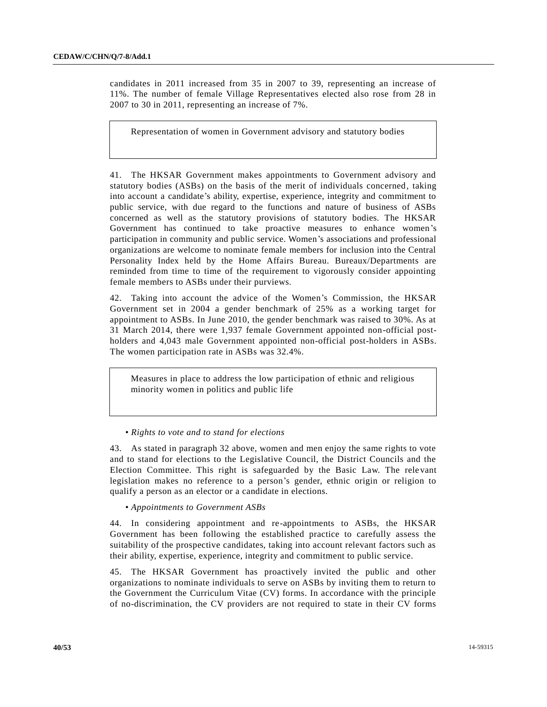candidates in 2011 increased from 35 in 2007 to 39, representing an increase of 11%. The number of female Village Representatives elected also rose from 28 in 2007 to 30 in 2011, representing an increase of 7%.

Representation of women in Government advisory and statutory bodies

41. The HKSAR Government makes appointments to Government advisory and statutory bodies (ASBs) on the basis of the merit of individuals concerned, taking into account a candidate's ability, expertise, experience, integrity and commitment to public service, with due regard to the functions and nature of business of ASBs concerned as well as the statutory provisions of statutory bodies. The HKSAR Government has continued to take proactive measures to enhance women's participation in community and public service. Women's associations and professional organizations are welcome to nominate female members for inclusion into the Central Personality Index held by the Home Affairs Bureau. Bureaux/Departments are reminded from time to time of the requirement to vigorously consider appointing female members to ASBs under their purviews.

42. Taking into account the advice of the Women's Commission, the HKSAR Government set in 2004 a gender benchmark of 25% as a working target for appointment to ASBs. In June 2010, the gender benchmark was raised to 30%. As at 31 March 2014, there were 1,937 female Government appointed non-official postholders and 4,043 male Government appointed non-official post-holders in ASBs. The women participation rate in ASBs was 32.4%.

Measures in place to address the low participation of ethnic and religious minority women in politics and public life

*• Rights to vote and to stand for elections*

43. As stated in paragraph 32 above, women and men enjoy the same rights to vote and to stand for elections to the Legislative Council, the District Councils and the Election Committee. This right is safeguarded by the Basic Law. The relevant legislation makes no reference to a person's gender, ethnic origin or religion to qualify a person as an elector or a candidate in elections.

*• Appointments to Government ASBs*

44. In considering appointment and re-appointments to ASBs, the HKSAR Government has been following the established practice to carefully assess the suitability of the prospective candidates, taking into account relevant factors such as their ability, expertise, experience, integrity and commitment to public service.

45. The HKSAR Government has proactively invited the public and other organizations to nominate individuals to serve on ASBs by inviting them to return to the Government the Curriculum Vitae (CV) forms. In accordance with the principle of no-discrimination, the CV providers are not required to state in their CV forms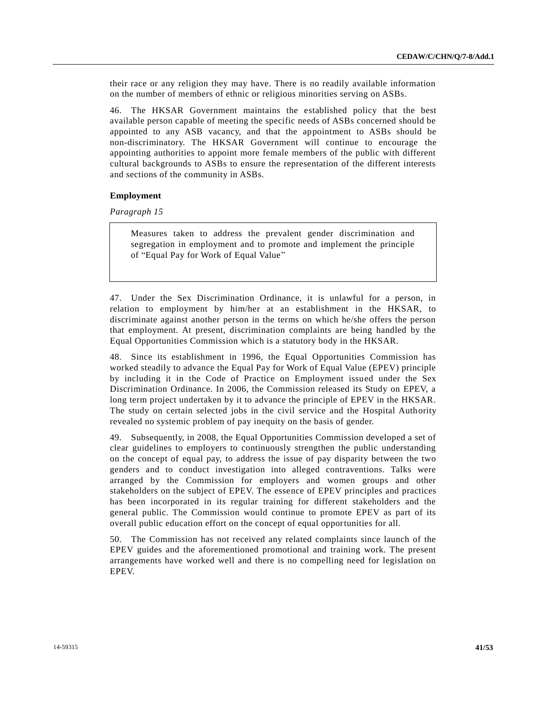their race or any religion they may have. There is no readily available information on the number of members of ethnic or religious minorities serving on ASBs.

46. The HKSAR Government maintains the established policy that the best available person capable of meeting the specific needs of ASBs concerned should be appointed to any ASB vacancy, and that the appointment to ASBs should be non-discriminatory. The HKSAR Government will continue to encourage the appointing authorities to appoint more female members of the public with different cultural backgrounds to ASBs to ensure the representation of the different interests and sections of the community in ASBs.

## **Employment**

*Paragraph 15*

Measures taken to address the prevalent gender discrimination and segregation in employment and to promote and implement the principle of "Equal Pay for Work of Equal Value"

47. Under the Sex Discrimination Ordinance, it is unlawful for a person, in relation to employment by him/her at an establishment in the HKSAR, to discriminate against another person in the terms on which he/she offers the person that employment. At present, discrimination complaints are being handled by the Equal Opportunities Commission which is a statutory body in the HKSAR.

48. Since its establishment in 1996, the Equal Opportunities Commission has worked steadily to advance the Equal Pay for Work of Equal Value (EPEV) principle by including it in the Code of Practice on Employment issued under the Sex Discrimination Ordinance. In 2006, the Commission released its Study on EPEV, a long term project undertaken by it to advance the principle of EPEV in the HKSAR. The study on certain selected jobs in the civil service and the Hospital Authority revealed no systemic problem of pay inequity on the basis of gender.

49. Subsequently, in 2008, the Equal Opportunities Commission developed a set of clear guidelines to employers to continuously strengthen the public understanding on the concept of equal pay, to address the issue of pay disparity between the two genders and to conduct investigation into alleged contraventions. Talks were arranged by the Commission for employers and women groups and other stakeholders on the subject of EPEV. The essence of EPEV principles and practices has been incorporated in its regular training for different stakeholders and the general public. The Commission would continue to promote EPEV as part of its overall public education effort on the concept of equal opportunities for all.

50. The Commission has not received any related complaints since launch of the EPEV guides and the aforementioned promotional and training work. The present arrangements have worked well and there is no compelling need for legislation on EPEV.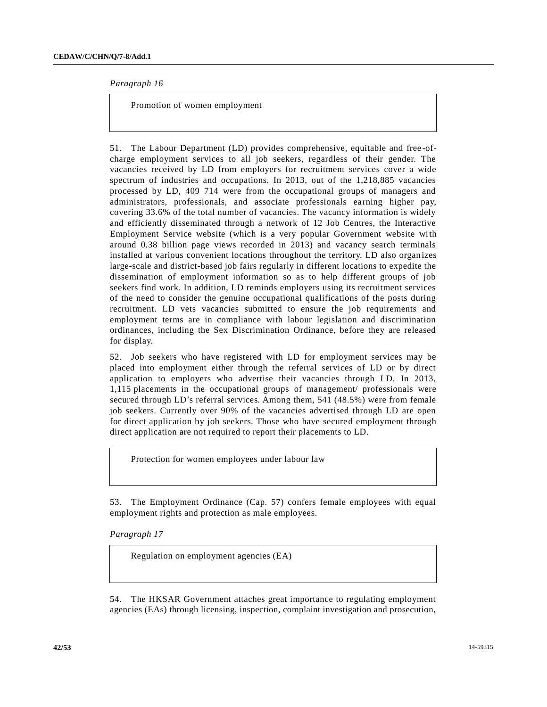*Paragraph 16*

Promotion of women employment

51. The Labour Department (LD) provides comprehensive, equitable and free -ofcharge employment services to all job seekers, regardless of their gender. The vacancies received by LD from employers for recruitment services cover a wide spectrum of industries and occupations. In 2013, out of the 1,218,885 vacancies processed by LD, 409 714 were from the occupational groups of managers and administrators, professionals, and associate professionals earning higher pay, covering 33.6% of the total number of vacancies. The vacancy information is widely and efficiently disseminated through a network of 12 Job Centres, the Interactive Employment Service website (which is a very popular Government website with around 0.38 billion page views recorded in 2013) and vacancy search terminals installed at various convenient locations throughout the territory. LD also organ izes large-scale and district-based job fairs regularly in different locations to expedite the dissemination of employment information so as to help different groups of job seekers find work. In addition, LD reminds employers using its recruitment services of the need to consider the genuine occupational qualifications of the posts during recruitment. LD vets vacancies submitted to ensure the job requirements and employment terms are in compliance with labour legislation and discrimination ordinances, including the Sex Discrimination Ordinance, before they are released for display.

52. Job seekers who have registered with LD for employment services may be placed into employment either through the referral services of LD or by direct application to employers who advertise their vacancies through LD. In 2013, 1,115 placements in the occupational groups of management/ professionals were secured through LD's referral services. Among them, 541 (48.5%) were from female job seekers. Currently over 90% of the vacancies advertised through LD are open for direct application by job seekers. Those who have secured employment through direct application are not required to report their placements to LD.

Protection for women employees under labour law

53. The Employment Ordinance (Cap. 57) confers female employees with equal employment rights and protection as male employees.

*Paragraph 17*

Regulation on employment agencies (EA)

54. The HKSAR Government attaches great importance to regulating employment agencies (EAs) through licensing, inspection, complaint investigation and prosecution,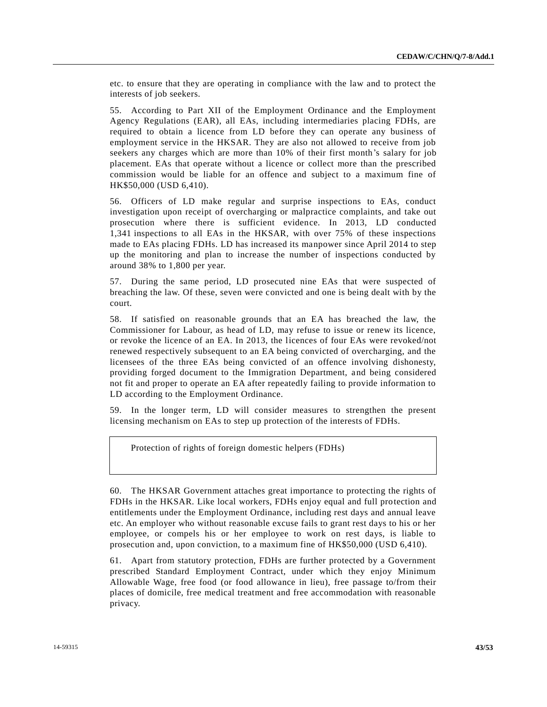etc. to ensure that they are operating in compliance with the law and to protect the interests of job seekers.

55. According to Part XII of the Employment Ordinance and the Employment Agency Regulations (EAR), all EAs, including intermediaries placing FDHs, are required to obtain a licence from LD before they can operate any business of employment service in the HKSAR. They are also not allowed to receive from job seekers any charges which are more than 10% of their first month's salary for job placement. EAs that operate without a licence or collect more than the prescribed commission would be liable for an offence and subject to a maximum fine of HK\$50,000 (USD 6,410).

56. Officers of LD make regular and surprise inspections to EAs, conduct investigation upon receipt of overcharging or malpractice complaints, and take out prosecution where there is sufficient evidence. In 2013, LD conducted 1,341 inspections to all EAs in the HKSAR, with over 75% of these inspections made to EAs placing FDHs. LD has increased its manpower since April 2014 to step up the monitoring and plan to increase the number of inspections conducted by around 38% to 1,800 per year.

57. During the same period, LD prosecuted nine EAs that were suspected of breaching the law. Of these, seven were convicted and one is being dealt with by the court.

58. If satisfied on reasonable grounds that an EA has breached the law, the Commissioner for Labour, as head of LD, may refuse to issue or renew its licence, or revoke the licence of an EA. In 2013, the licences of four EAs were revoked/not renewed respectively subsequent to an EA being convicted of overcharging, and the licensees of the three EAs being convicted of an offence involving dishonesty, providing forged document to the Immigration Department, and being considered not fit and proper to operate an EA after repeatedly failing to provide information to LD according to the Employment Ordinance.

59. In the longer term, LD will consider measures to strengthen the present licensing mechanism on EAs to step up protection of the interests of FDHs.

Protection of rights of foreign domestic helpers (FDHs)

61. Apart from statutory protection, FDHs are further protected by a Government prescribed Standard Employment Contract, under which they enjoy Minimum Allowable Wage, free food (or food allowance in lieu), free passage to/from their places of domicile, free medical treatment and free accommodation with reasonable privacy.

<sup>60.</sup> The HKSAR Government attaches great importance to protecting the rights of FDHs in the HKSAR. Like local workers, FDHs enjoy equal and full protection and entitlements under the Employment Ordinance, including rest days and annual leave etc. An employer who without reasonable excuse fails to grant rest days to his or her employee, or compels his or her employee to work on rest days, is liable to prosecution and, upon conviction, to a maximum fine of HK\$50,000 (USD 6,410).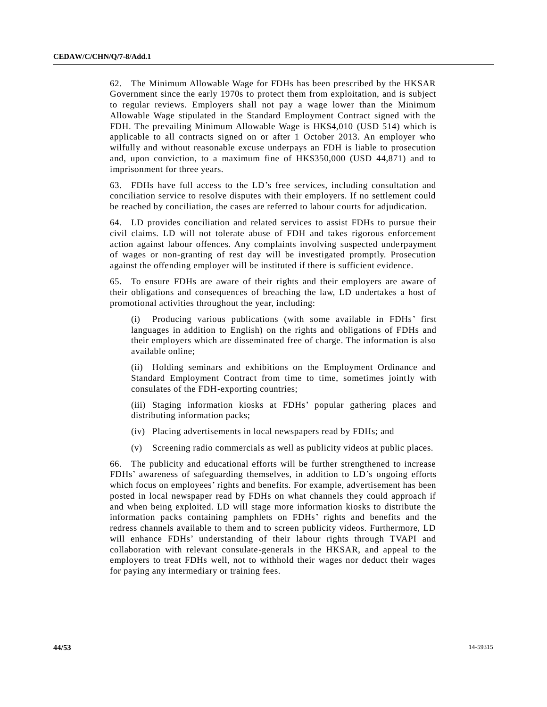62. The Minimum Allowable Wage for FDHs has been prescribed by the HKSAR Government since the early 1970s to protect them from exploitation, and is subject to regular reviews. Employers shall not pay a wage lower than the Minimum Allowable Wage stipulated in the Standard Employment Contract signed with the FDH. The prevailing Minimum Allowable Wage is HK\$4,010 (USD 514) which is applicable to all contracts signed on or after 1 October 2013. An employer who wilfully and without reasonable excuse underpays an FDH is liable to prosecution and, upon conviction, to a maximum fine of HK\$350,000 (USD 44,871) and to imprisonment for three years.

63. FDHs have full access to the LD's free services, including consultation and conciliation service to resolve disputes with their employers. If no settlement could be reached by conciliation, the cases are referred to labour courts for adjudication.

64. LD provides conciliation and related services to assist FDHs to pursue their civil claims. LD will not tolerate abuse of FDH and takes rigorous enforcement action against labour offences. Any complaints involving suspected unde rpayment of wages or non-granting of rest day will be investigated promptly. Prosecution against the offending employer will be instituted if there is sufficient evidence.

65. To ensure FDHs are aware of their rights and their employers are aware of their obligations and consequences of breaching the law, LD undertakes a host of promotional activities throughout the year, including:

(i) Producing various publications (with some available in FDHs' first languages in addition to English) on the rights and obligations of FDHs and their employers which are disseminated free of charge. The information is also available online;

(ii) Holding seminars and exhibitions on the Employment Ordinance and Standard Employment Contract from time to time, sometimes jointly with consulates of the FDH-exporting countries;

(iii) Staging information kiosks at FDHs' popular gathering places and distributing information packs;

- (iv) Placing advertisements in local newspapers read by FDHs; and
- (v) Screening radio commercials as well as publicity videos at public places.

66. The publicity and educational efforts will be further strengthened to increase FDHs' awareness of safeguarding themselves, in addition to LD's ongoing efforts which focus on employees' rights and benefits. For example, advertisement has been posted in local newspaper read by FDHs on what channels they could approach if and when being exploited. LD will stage more information kiosks to distribute the information packs containing pamphlets on FDHs' rights and benefits and the redress channels available to them and to screen publicity videos. Furthermore, LD will enhance FDHs' understanding of their labour rights through TVAPI and collaboration with relevant consulate-generals in the HKSAR, and appeal to the employers to treat FDHs well, not to withhold their wages nor deduct their wages for paying any intermediary or training fees.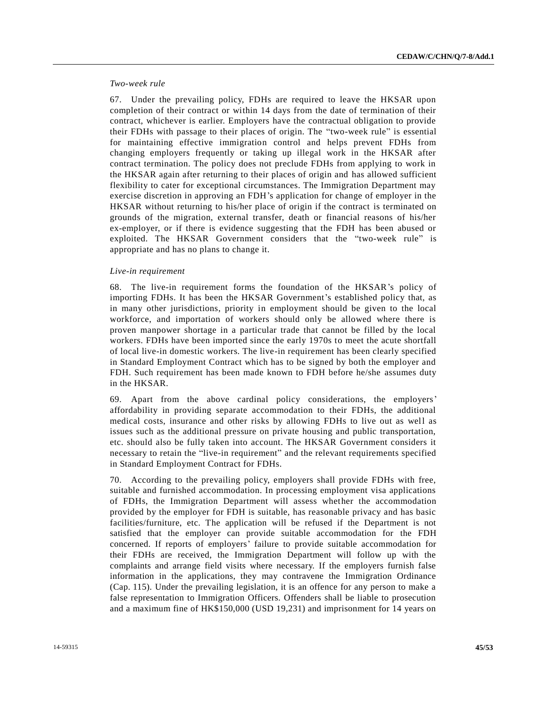#### *Two-week rule*

67. Under the prevailing policy, FDHs are required to leave the HKSAR upon completion of their contract or within 14 days from the date of termination of their contract, whichever is earlier. Employers have the contractual obligation to provide their FDHs with passage to their places of origin. The "two-week rule" is essential for maintaining effective immigration control and helps prevent FDHs from changing employers frequently or taking up illegal work in the HKSAR after contract termination. The policy does not preclude FDHs from applying to work in the HKSAR again after returning to their places of origin and has allowed sufficient flexibility to cater for exceptional circumstances. The Immigration Department may exercise discretion in approving an FDH's application for change of employer in the HKSAR without returning to his/her place of origin if the contract is terminated on grounds of the migration, external transfer, death or financial reasons of his/her ex-employer, or if there is evidence suggesting that the FDH has been abused or exploited. The HKSAR Government considers that the "two-week rule" is appropriate and has no plans to change it.

#### *Live-in requirement*

68. The live-in requirement forms the foundation of the HKSAR's policy of importing FDHs. It has been the HKSAR Government's established policy that, as in many other jurisdictions, priority in employment should be given to the local workforce, and importation of workers should only be allowed where there is proven manpower shortage in a particular trade that cannot be filled by the local workers. FDHs have been imported since the early 1970s to meet the acute shortfall of local live-in domestic workers. The live-in requirement has been clearly specified in Standard Employment Contract which has to be signed by both the employer and FDH. Such requirement has been made known to FDH before he/she assumes duty in the HKSAR.

69. Apart from the above cardinal policy considerations, the employers' affordability in providing separate accommodation to their FDHs, the additional medical costs, insurance and other risks by allowing FDHs to live out as well as issues such as the additional pressure on private housing and public transportation, etc. should also be fully taken into account. The HKSAR Government considers it necessary to retain the "live-in requirement" and the relevant requirements specified in Standard Employment Contract for FDHs.

70. According to the prevailing policy, employers shall provide FDHs with free, suitable and furnished accommodation. In processing employment visa applications of FDHs, the Immigration Department will assess whether the accommodation provided by the employer for FDH is suitable, has reasonable privacy and has basic facilities/furniture, etc. The application will be refused if the Department is not satisfied that the employer can provide suitable accommodation for the FDH concerned. If reports of employers' failure to provide suitable accommodation for their FDHs are received, the Immigration Department will follow up with the complaints and arrange field visits where necessary. If the employers furnish false information in the applications, they may contravene the Immigration Ordinance (Cap. 115). Under the prevailing legislation, it is an offence for any person to make a false representation to Immigration Officers. Offenders shall be liable to prosecution and a maximum fine of HK\$150,000 (USD 19,231) and imprisonment for 14 years on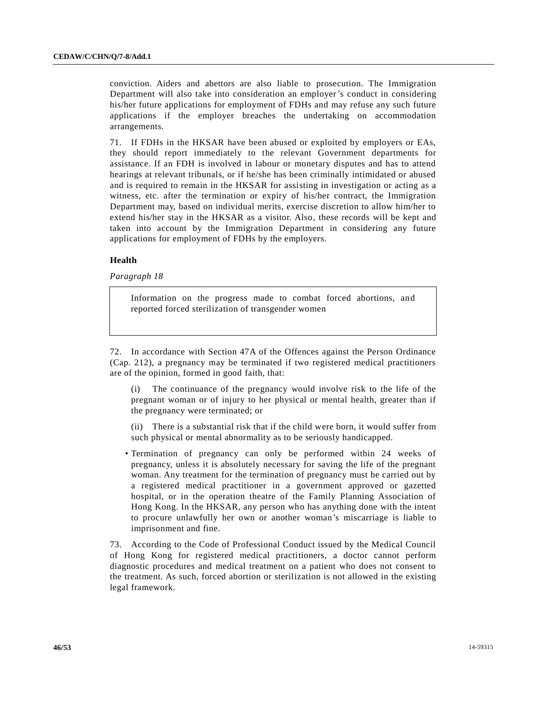conviction. Aiders and abettors are also liable to prosecution. The Immigration Department will also take into consideration an employer's conduct in considering his/her future applications for employment of FDHs and may refuse any such future applications if the employer breaches the undertaking on accommodation arrangements.

71. If FDHs in the HKSAR have been abused or exploited by employers or EAs, they should report immediately to the relevant Government departments for assistance. If an FDH is involved in labour or monetary disputes and has to attend hearings at relevant tribunals, or if he/she has been criminally intimidated or abused and is required to remain in the HKSAR for assisting in investigation or acting as a witness, etc. after the termination or expiry of his/her contract, the Immigration Department may, based on individual merits, exercise discretion to allow him/her to extend his/her stay in the HKSAR as a visitor. Also, these records will be kept and taken into account by the Immigration Department in considering any future applications for employment of FDHs by the employers.

## **Health**

*Paragraph 18*

Information on the progress made to combat forced abortions, and reported forced sterilization of transgender women

72. In accordance with Section 47A of the Offences against the Person Ordinance (Cap. 212), a pregnancy may be terminated if two registered medical practitioners are of the opinion, formed in good faith, that:

(i) The continuance of the pregnancy would involve risk to the life of the pregnant woman or of injury to her physical or mental health, greater than if the pregnancy were terminated; or

(ii) There is a substantial risk that if the child were born, it would suffer from such physical or mental abnormality as to be seriously handicapped.

• Termination of pregnancy can only be performed within 24 weeks of pregnancy, unless it is absolutely necessary for saving the life of the pregnant woman. Any treatment for the termination of pregnancy must be carried out by a registered medical practitioner in a government approved or gazetted hospital, or in the operation theatre of the Family Planning Association of Hong Kong. In the HKSAR, any person who has anything done with the intent to procure unlawfully her own or another woman's miscarriage is liable to imprisonment and fine.

73. According to the Code of Professional Conduct issued by the Medical Council of Hong Kong for registered medical practitioners, a doctor cannot perform diagnostic procedures and medical treatment on a patient who does not consent to the treatment. As such, forced abortion or sterilization is not allowed in the existing legal framework.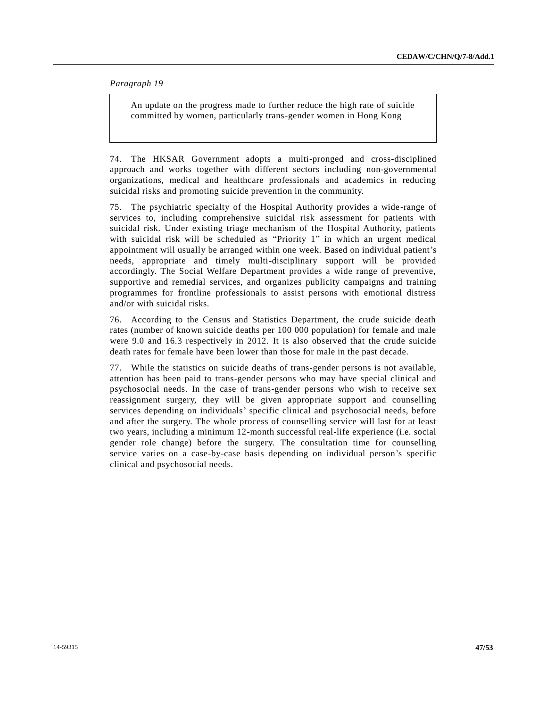*Paragraph 19*

An update on the progress made to further reduce the high rate of suicide committed by women, particularly trans-gender women in Hong Kong

74. The HKSAR Government adopts a multi-pronged and cross-disciplined approach and works together with different sectors including non-governmental organizations, medical and healthcare professionals and academics in reducing suicidal risks and promoting suicide prevention in the community.

75. The psychiatric specialty of the Hospital Authority provides a wide -range of services to, including comprehensive suicidal risk assessment for patients with suicidal risk. Under existing triage mechanism of the Hospital Authority, patients with suicidal risk will be scheduled as "Priority 1" in which an urgent medical appointment will usually be arranged within one week. Based on individual patient's needs, appropriate and timely multi-disciplinary support will be provided accordingly. The Social Welfare Department provides a wide range of preventive, supportive and remedial services, and organizes publicity campaigns and training programmes for frontline professionals to assist persons with emotional distress and/or with suicidal risks.

76. According to the Census and Statistics Department, the crude suicide death rates (number of known suicide deaths per 100 000 population) for female and male were 9.0 and 16.3 respectively in 2012. It is also observed that the crude suicide death rates for female have been lower than those for male in the past decade.

77. While the statistics on suicide deaths of trans-gender persons is not available, attention has been paid to trans-gender persons who may have special clinical and psychosocial needs. In the case of trans-gender persons who wish to receive sex reassignment surgery, they will be given appropriate support and counselling services depending on individuals' specific clinical and psychosocial needs, before and after the surgery. The whole process of counselling service will last for at least two years, including a minimum 12-month successful real-life experience (i.e. social gender role change) before the surgery. The consultation time for counselling service varies on a case-by-case basis depending on individual person's specific clinical and psychosocial needs.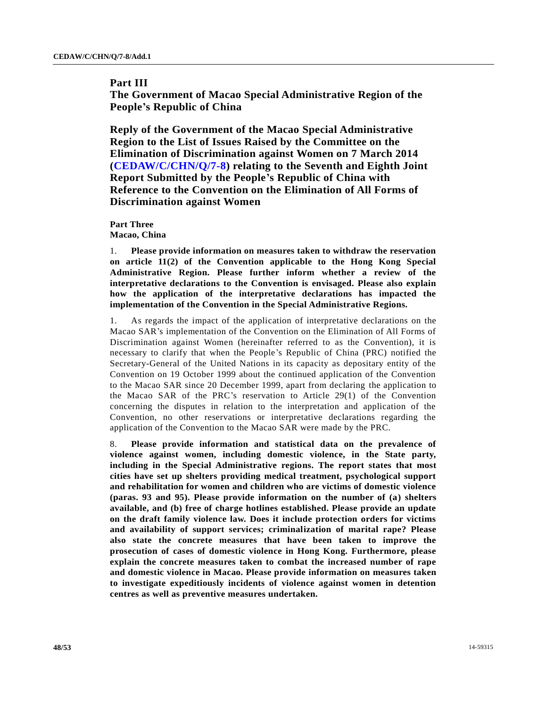## **Part III**

**The Government of Macao Special Administrative Region of the People's Republic of China**

**Reply of the Government of the Macao Special Administrative Region to the List of Issues Raised by the Committee on the Elimination of Discrimination against Women on 7 March 2014 [\(CEDAW/C/CHN/Q/7-8\)](http://undocs.org/CEDAW/C/CHN/Q/7) relating to the Seventh and Eighth Joint Report Submitted by the People's Republic of China with Reference to the Convention on the Elimination of All Forms of Discrimination against Women**

**Part Three Macao, China**

1. **Please provide information on measures taken to withdraw the reservation on article 11(2) of the Convention applicable to the Hong Kong Special Administrative Region. Please further inform whether a review of the interpretative declarations to the Convention is envisaged. Please also explain how the application of the interpretative declarations has impacted the implementation of the Convention in the Special Administrative Regions.**

1. As regards the impact of the application of interpretative declarations on the Macao SAR's implementation of the Convention on the Elimination of All Forms of Discrimination against Women (hereinafter referred to as the Convention), it is necessary to clarify that when the People's Republic of China (PRC) notified the Secretary-General of the United Nations in its capacity as depositary entity of the Convention on 19 October 1999 about the continued application of the Convention to the Macao SAR since 20 December 1999, apart from declaring the application to the Macao SAR of the PRC's reservation to Article 29(1) of the Convention concerning the disputes in relation to the interpretation and application of the Convention, no other reservations or interpretative declarations regarding the application of the Convention to the Macao SAR were made by the PRC.

8. **Please provide information and statistical data on the prevalence of violence against women, including domestic violence, in the State party, including in the Special Administrative regions. The report states that most cities have set up shelters providing medical treatment, psychological support and rehabilitation for women and children who are victims of domestic violence (paras. 93 and 95). Please provide information on the number of (a) shelters available, and (b) free of charge hotlines established. Please provide an update on the draft family violence law. Does it include protection orders for victims and availability of support services; criminalization of marital rape? Please also state the concrete measures that have been taken to improve the prosecution of cases of domestic violence in Hong Kong. Furthermore, please explain the concrete measures taken to combat the increased number of rape and domestic violence in Macao. Please provide information on measures taken to investigate expeditiously incidents of violence against women in detention centres as well as preventive measures undertaken.**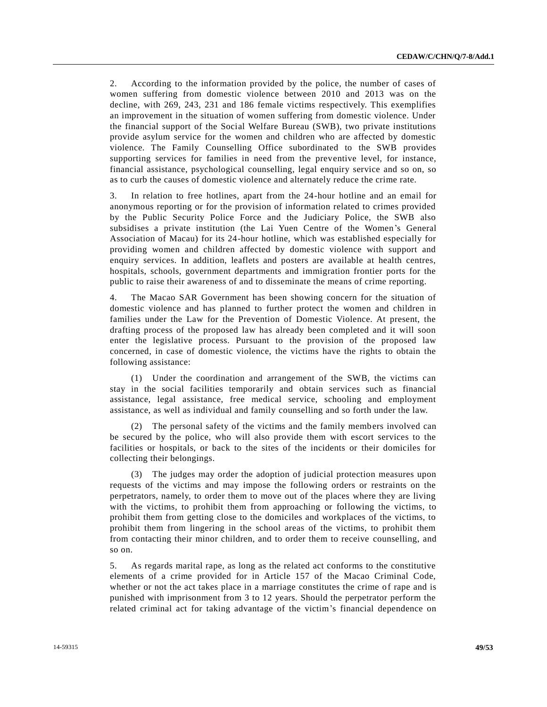2. According to the information provided by the police, the number of cases of women suffering from domestic violence between 2010 and 2013 was on the decline, with 269, 243, 231 and 186 female victims respectively. This exemplifies an improvement in the situation of women suffering from domestic violence. Under the financial support of the Social Welfare Bureau (SWB), two private institutions provide asylum service for the women and children who are affected by domestic violence. The Family Counselling Office subordinated to the SWB provides supporting services for families in need from the preventive level, for instance, financial assistance, psychological counselling, legal enquiry service and so on, so as to curb the causes of domestic violence and alternately reduce the crime rate.

3. In relation to free hotlines, apart from the 24-hour hotline and an email for anonymous reporting or for the provision of information related to crimes provided by the Public Security Police Force and the Judiciary Police, the SWB also subsidises a private institution (the Lai Yuen Centre of the Women's General Association of Macau) for its 24-hour hotline, which was established especially for providing women and children affected by domestic violence with support and enquiry services. In addition, leaflets and posters are available at health centres, hospitals, schools, government departments and immigration frontier ports for the public to raise their awareness of and to disseminate the means of crime reporting.

4. The Macao SAR Government has been showing concern for the situation of domestic violence and has planned to further protect the women and children in families under the Law for the Prevention of Domestic Violence. At present, the drafting process of the proposed law has already been completed and it will soon enter the legislative process. Pursuant to the provision of the proposed law concerned, in case of domestic violence, the victims have the rights to obtain the following assistance:

(1) Under the coordination and arrangement of the SWB, the victims can stay in the social facilities temporarily and obtain services such as financial assistance, legal assistance, free medical service, schooling and employment assistance, as well as individual and family counselling and so forth under the law.

(2) The personal safety of the victims and the family members involved can be secured by the police, who will also provide them with escort services to the facilities or hospitals, or back to the sites of the incidents or their domiciles for collecting their belongings.

(3) The judges may order the adoption of judicial protection measures upon requests of the victims and may impose the following orders or restraints on the perpetrators, namely, to order them to move out of the places where they are living with the victims, to prohibit them from approaching or following the victims, to prohibit them from getting close to the domiciles and workplaces of the victims, to prohibit them from lingering in the school areas of the victims, to prohibit them from contacting their minor children, and to order them to receive counselling, and so on.

5. As regards marital rape, as long as the related act conforms to the constitutive elements of a crime provided for in Article 157 of the Macao Criminal Code, whether or not the act takes place in a marriage constitutes the crime of rape and is punished with imprisonment from 3 to 12 years. Should the perpetrator perform the related criminal act for taking advantage of the victim's financial dependence on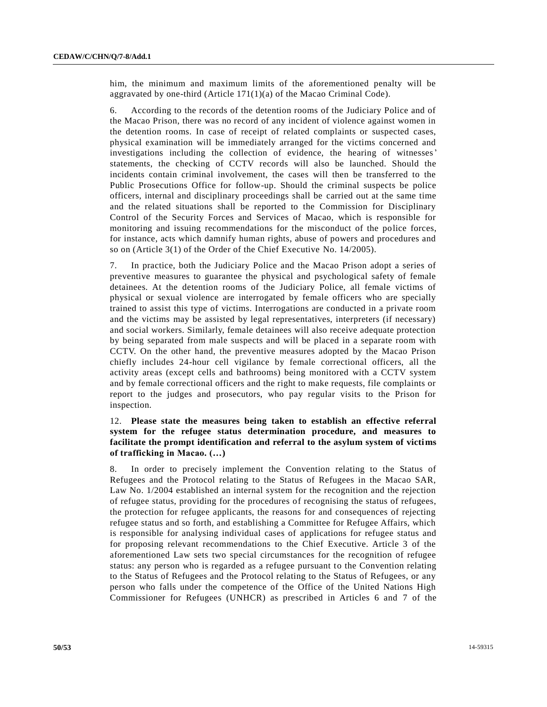him, the minimum and maximum limits of the aforementioned penalty will be aggravated by one-third (Article 171(1)(a) of the Macao Criminal Code).

6. According to the records of the detention rooms of the Judiciary Police and of the Macao Prison, there was no record of any incident of violence against women in the detention rooms. In case of receipt of related complaints or suspected cases, physical examination will be immediately arranged for the victims concerned and investigations including the collection of evidence, the hearing of witnesses' statements, the checking of CCTV records will also be launched. Should the incidents contain criminal involvement, the cases will then be transferred to the Public Prosecutions Office for follow-up. Should the criminal suspects be police officers, internal and disciplinary proceedings shall be carried out at the same time and the related situations shall be reported to the Commission for Disciplinary Control of the Security Forces and Services of Macao, which is responsible for monitoring and issuing recommendations for the misconduct of the police forces, for instance, acts which damnify human rights, abuse of powers and procedures and so on (Article 3(1) of the Order of the Chief Executive No. 14/2005).

7. In practice, both the Judiciary Police and the Macao Prison adopt a series of preventive measures to guarantee the physical and psychological safety of female detainees. At the detention rooms of the Judiciary Police, all female victims of physical or sexual violence are interrogated by female officers who are specially trained to assist this type of victims. Interrogations are conducted in a private room and the victims may be assisted by legal representatives, interpreters (if necessary) and social workers. Similarly, female detainees will also receive adequate protection by being separated from male suspects and will be placed in a separate room with CCTV. On the other hand, the preventive measures adopted by the Macao Prison chiefly includes 24-hour cell vigilance by female correctional officers, all the activity areas (except cells and bathrooms) being monitored with a CCTV system and by female correctional officers and the right to make requests, file complaints or report to the judges and prosecutors, who pay regular visits to the Prison for inspection.

## 12. **Please state the measures being taken to establish an effective referral system for the refugee status determination procedure, and measures to facilitate the prompt identification and referral to the asylum system of victims of trafficking in Macao. (…)**

8. In order to precisely implement the Convention relating to the Status of Refugees and the Protocol relating to the Status of Refugees in the Macao SAR, Law No. 1/2004 established an internal system for the recognition and the rejection of refugee status, providing for the procedures of recognising the status of refugees, the protection for refugee applicants, the reasons for and consequences of rejecting refugee status and so forth, and establishing a Committee for Refugee Affairs, which is responsible for analysing individual cases of applications for refugee status and for proposing relevant recommendations to the Chief Executive. Article 3 of the aforementioned Law sets two special circumstances for the recognition of refugee status: any person who is regarded as a refugee pursuant to the Convention relating to the Status of Refugees and the Protocol relating to the Status of Refugees, or any person who falls under the competence of the Office of the United Nations High Commissioner for Refugees (UNHCR) as prescribed in Articles 6 and 7 of the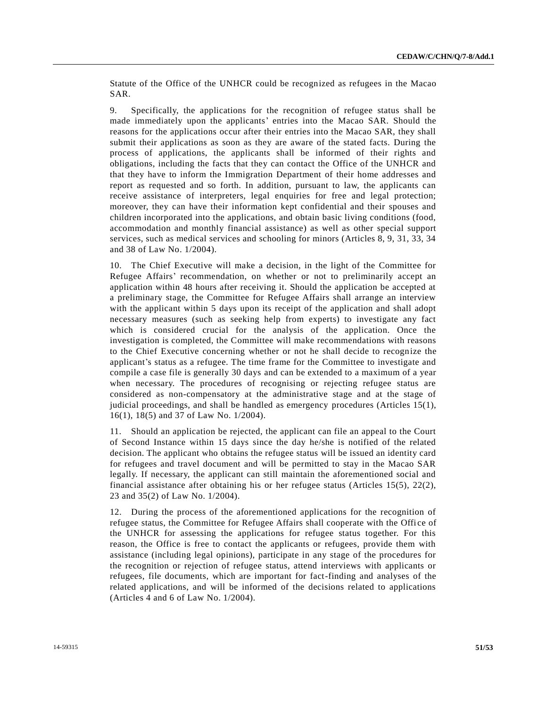Statute of the Office of the UNHCR could be recognized as refugees in the Macao SAR.

9. Specifically, the applications for the recognition of refugee status shall be made immediately upon the applicants' entries into the Macao SAR. Should the reasons for the applications occur after their entries into the Macao SAR, they shall submit their applications as soon as they are aware of the stated facts. During the process of applications, the applicants shall be informed of their rights and obligations, including the facts that they can contact the Office of the UNHCR and that they have to inform the Immigration Department of their home addresses and report as requested and so forth. In addition, pursuant to law, the applicants can receive assistance of interpreters, legal enquiries for free and legal protection; moreover, they can have their information kept confidential and their spouses and children incorporated into the applications, and obtain basic living conditions (food, accommodation and monthly financial assistance) as well as other special support services, such as medical services and schooling for minors (Articles 8, 9, 31, 33, 34 and 38 of Law No. 1/2004).

10. The Chief Executive will make a decision, in the light of the Committee for Refugee Affairs' recommendation, on whether or not to preliminarily accept an application within 48 hours after receiving it. Should the application be accepted at a preliminary stage, the Committee for Refugee Affairs shall arrange an interview with the applicant within 5 days upon its receipt of the application and shall adopt necessary measures (such as seeking help from experts) to investigate any fact which is considered crucial for the analysis of the application. Once the investigation is completed, the Committee will make recommendations with reasons to the Chief Executive concerning whether or not he shall decide to recognize the applicant's status as a refugee. The time frame for the Committee to investigate and compile a case file is generally 30 days and can be extended to a maximum of a year when necessary. The procedures of recognising or rejecting refugee status are considered as non-compensatory at the administrative stage and at the stage of judicial proceedings, and shall be handled as emergency procedures (Articles 15(1), 16(1), 18(5) and 37 of Law No. 1/2004).

11. Should an application be rejected, the applicant can file an appeal to the Court of Second Instance within 15 days since the day he/she is notified of the related decision. The applicant who obtains the refugee status will be issued an identity card for refugees and travel document and will be permitted to stay in the Macao SAR legally. If necessary, the applicant can still maintain the aforementioned social and financial assistance after obtaining his or her refugee status (Articles 15(5), 22(2), 23 and 35(2) of Law No. 1/2004).

12. During the process of the aforementioned applications for the recognition of refugee status, the Committee for Refugee Affairs shall cooperate with the Offi ce of the UNHCR for assessing the applications for refugee status together. For this reason, the Office is free to contact the applicants or refugees, provide them with assistance (including legal opinions), participate in any stage of the procedures for the recognition or rejection of refugee status, attend interviews with applicants or refugees, file documents, which are important for fact-finding and analyses of the related applications, and will be informed of the decisions related to applications (Articles 4 and 6 of Law No. 1/2004).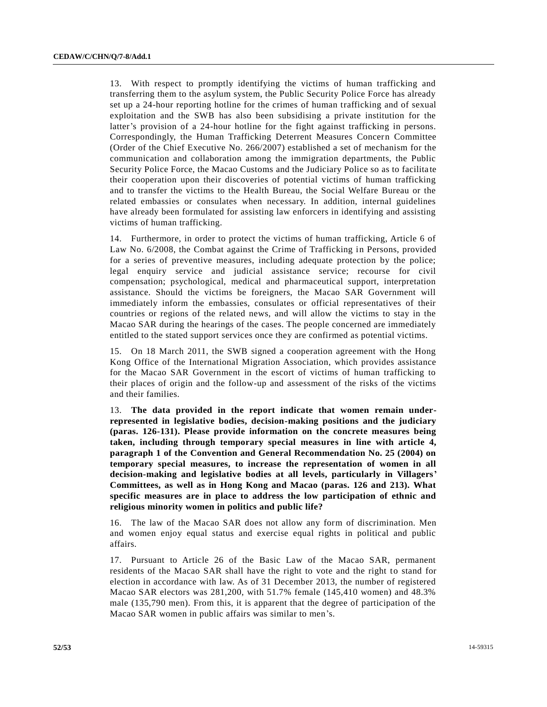13. With respect to promptly identifying the victims of human trafficking and transferring them to the asylum system, the Public Security Police Force has already set up a 24-hour reporting hotline for the crimes of human trafficking and of sexual exploitation and the SWB has also been subsidising a private institution for the latter's provision of a 24-hour hotline for the fight against trafficking in persons. Correspondingly, the Human Trafficking Deterrent Measures Concern Committee (Order of the Chief Executive No. 266/2007) established a set of mechanism for the communication and collaboration among the immigration departments, the Public Security Police Force, the Macao Customs and the Judiciary Police so as to facilita te their cooperation upon their discoveries of potential victims of human trafficking and to transfer the victims to the Health Bureau, the Social Welfare Bureau or the related embassies or consulates when necessary. In addition, internal guidelines have already been formulated for assisting law enforcers in identifying and assisting victims of human trafficking.

14. Furthermore, in order to protect the victims of human trafficking, Article 6 of Law No. 6/2008, the Combat against the Crime of Trafficking in Persons, provided for a series of preventive measures, including adequate protection by the police; legal enquiry service and judicial assistance service; recourse for civil compensation; psychological, medical and pharmaceutical support, interpretation assistance. Should the victims be foreigners, the Macao SAR Government will immediately inform the embassies, consulates or official representatives of their countries or regions of the related news, and will allow the victims to stay in the Macao SAR during the hearings of the cases. The people concerned are immediately entitled to the stated support services once they are confirmed as potential victims.

15. On 18 March 2011, the SWB signed a cooperation agreement with the Hong Kong Office of the International Migration Association, which provides assistance for the Macao SAR Government in the escort of victims of human trafficking to their places of origin and the follow-up and assessment of the risks of the victims and their families.

13. **The data provided in the report indicate that women remain underrepresented in legislative bodies, decision-making positions and the judiciary (paras. 126-131). Please provide information on the concrete measures being taken, including through temporary special measures in line with article 4, paragraph 1 of the Convention and General Recommendation No. 25 (2004) on temporary special measures, to increase the representation of women in all decision-making and legislative bodies at all levels, particularly in Villagers' Committees, as well as in Hong Kong and Macao (paras. 126 and 213). What specific measures are in place to address the low participation of ethnic and religious minority women in politics and public life?**

16. The law of the Macao SAR does not allow any form of discrimination. Men and women enjoy equal status and exercise equal rights in political and public affairs.

17. Pursuant to Article 26 of the Basic Law of the Macao SAR, permanent residents of the Macao SAR shall have the right to vote and the right to stand for election in accordance with law. As of 31 December 2013, the number of registered Macao SAR electors was 281,200, with 51.7% female (145,410 women) and 48.3% male (135,790 men). From this, it is apparent that the degree of participation of the Macao SAR women in public affairs was similar to men's.